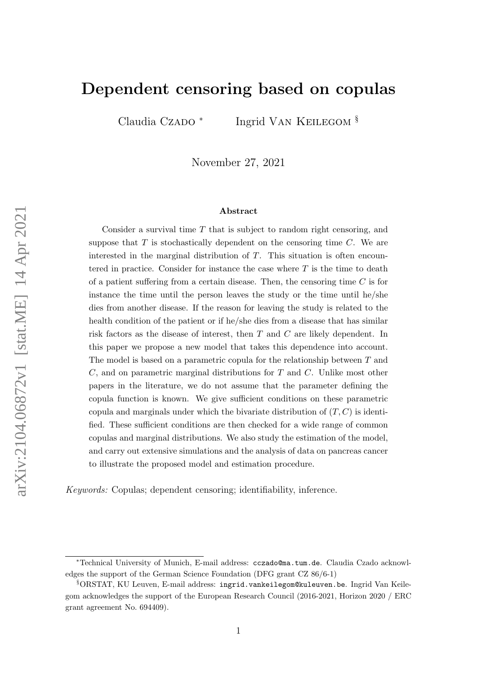# Dependent censoring based on copulas

Claudia Czado \*

Ingrid Van Keilegom §

November 27, 2021

#### Abstract

Consider a survival time  $T$  that is subject to random right censoring, and suppose that  $T$  is stochastically dependent on the censoring time  $C$ . We are interested in the marginal distribution of T. This situation is often encountered in practice. Consider for instance the case where  $T$  is the time to death of a patient suffering from a certain disease. Then, the censoring time  $C$  is for instance the time until the person leaves the study or the time until he/she dies from another disease. If the reason for leaving the study is related to the health condition of the patient or if he/she dies from a disease that has similar risk factors as the disease of interest, then T and C are likely dependent. In this paper we propose a new model that takes this dependence into account. The model is based on a parametric copula for the relationship between T and  $C$ , and on parametric marginal distributions for  $T$  and  $C$ . Unlike most other papers in the literature, we do not assume that the parameter defining the copula function is known. We give sufficient conditions on these parametric copula and marginals under which the bivariate distribution of  $(T, C)$  is identified. These sufficient conditions are then checked for a wide range of common copulas and marginal distributions. We also study the estimation of the model, and carry out extensive simulations and the analysis of data on pancreas cancer to illustrate the proposed model and estimation procedure.

Keywords: Copulas; dependent censoring; identifiability, inference.

<sup>∗</sup>Technical University of Munich, E-mail address: cczado@ma.tum.de. Claudia Czado acknowledges the support of the German Science Foundation (DFG grant CZ 86/6-1)

<sup>§</sup>ORSTAT, KU Leuven, E-mail address: ingrid.vankeilegom@kuleuven.be. Ingrid Van Keilegom acknowledges the support of the European Research Council (2016-2021, Horizon 2020 / ERC grant agreement No. 694409).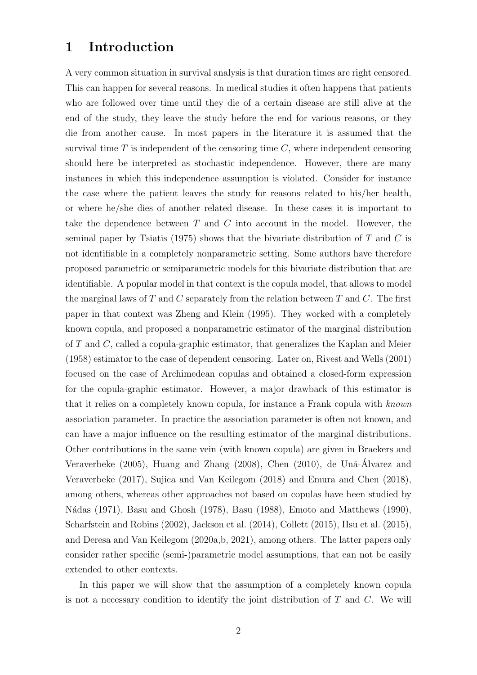### 1 Introduction

A very common situation in survival analysis is that duration times are right censored. This can happen for several reasons. In medical studies it often happens that patients who are followed over time until they die of a certain disease are still alive at the end of the study, they leave the study before the end for various reasons, or they die from another cause. In most papers in the literature it is assumed that the survival time  $T$  is independent of the censoring time  $C$ , where independent censoring should here be interpreted as stochastic independence. However, there are many instances in which this independence assumption is violated. Consider for instance the case where the patient leaves the study for reasons related to his/her health, or where he/she dies of another related disease. In these cases it is important to take the dependence between  $T$  and  $C$  into account in the model. However, the seminal paper by Tsiatis (1975) shows that the bivariate distribution of  $T$  and  $C$  is not identifiable in a completely nonparametric setting. Some authors have therefore proposed parametric or semiparametric models for this bivariate distribution that are identifiable. A popular model in that context is the copula model, that allows to model the marginal laws of T and C separately from the relation between T and C. The first paper in that context was Zheng and Klein (1995). They worked with a completely known copula, and proposed a nonparametric estimator of the marginal distribution of T and C, called a copula-graphic estimator, that generalizes the Kaplan and Meier (1958) estimator to the case of dependent censoring. Later on, Rivest and Wells (2001) focused on the case of Archimedean copulas and obtained a closed-form expression for the copula-graphic estimator. However, a major drawback of this estimator is that it relies on a completely known copula, for instance a Frank copula with known association parameter. In practice the association parameter is often not known, and can have a major influence on the resulting estimator of the marginal distributions. Other contributions in the same vein (with known copula) are given in Braekers and Veraverbeke (2005), Huang and Zhang (2008), Chen (2010), de Unã-Álvarez and Veraverbeke (2017), Sujica and Van Keilegom (2018) and Emura and Chen (2018), among others, whereas other approaches not based on copulas have been studied by N´adas (1971), Basu and Ghosh (1978), Basu (1988), Emoto and Matthews (1990), Scharfstein and Robins (2002), Jackson et al. (2014), Collett (2015), Hsu et al. (2015), and Deresa and Van Keilegom (2020a,b, 2021), among others. The latter papers only consider rather specific (semi-)parametric model assumptions, that can not be easily extended to other contexts.

In this paper we will show that the assumption of a completely known copula is not a necessary condition to identify the joint distribution of  $T$  and  $C$ . We will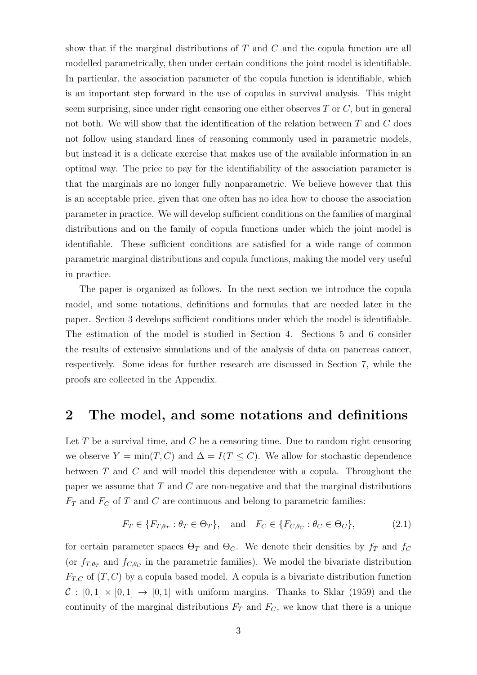show that if the marginal distributions of T and C and the copula function are all modelled parametrically, then under certain conditions the joint model is identifiable. In particular, the association parameter of the copula function is identifiable, which is an important step forward in the use of copulas in survival analysis. This might seem surprising, since under right censoring one either observes  $T$  or  $C$ , but in general not both. We will show that the identification of the relation between  $T$  and  $C$  does not follow using standard lines of reasoning commonly used in parametric models, but instead it is a delicate exercise that makes use of the available information in an optimal way. The price to pay for the identifiability of the association parameter is that the marginals are no longer fully nonparametric. We believe however that this is an acceptable price, given that one often has no idea how to choose the association parameter in practice. We will develop sufficient conditions on the families of marginal distributions and on the family of copula functions under which the joint model is identifiable. These sufficient conditions are satisfied for a wide range of common parametric marginal distributions and copula functions, making the model very useful in practice.

The paper is organized as follows. In the next section we introduce the copula model, and some notations, definitions and formulas that are needed later in the paper. Section 3 develops sufficient conditions under which the model is identifiable. The estimation of the model is studied in Section 4. Sections 5 and 6 consider the results of extensive simulations and of the analysis of data on pancreas cancer, respectively. Some ideas for further research are discussed in Section 7, while the proofs are collected in the Appendix.

#### 2 The model, and some notations and definitions

Let  $T$  be a survival time, and  $C$  be a censoring time. Due to random right censoring we observe  $Y = \min(T, C)$  and  $\Delta = I(T \leq C)$ . We allow for stochastic dependence between T and C and will model this dependence with a copula. Throughout the paper we assume that  $T$  and  $C$  are non-negative and that the marginal distributions  $F_T$  and  $F_C$  of T and C are continuous and belong to parametric families:

$$
F_T \in \{F_{T,\theta_T} : \theta_T \in \Theta_T\}, \quad \text{and} \quad F_C \in \{F_{C,\theta_C} : \theta_C \in \Theta_C\},\tag{2.1}
$$

for certain parameter spaces  $\Theta_T$  and  $\Theta_C$ . We denote their densities by  $f_T$  and  $f_C$ (or  $f_{T,\theta_T}$  and  $f_{C,\theta_C}$  in the parametric families). We model the bivariate distribution  $F_{T,C}$  of  $(T, C)$  by a copula based model. A copula is a bivariate distribution function  $C : [0,1] \times [0,1] \rightarrow [0,1]$  with uniform margins. Thanks to Sklar (1959) and the continuity of the marginal distributions  $F_T$  and  $F_C$ , we know that there is a unique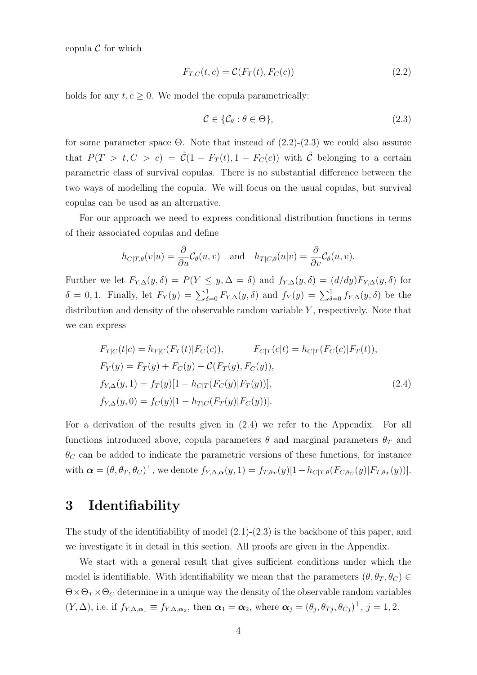copula  $\mathcal C$  for which

$$
F_{T,C}(t,c) = \mathcal{C}(F_T(t), F_C(c))
$$
\n(2.2)

holds for any  $t, c \geq 0$ . We model the copula parametrically:

$$
\mathcal{C} \in \{\mathcal{C}_{\theta} : \theta \in \Theta\},\tag{2.3}
$$

for some parameter space  $\Theta$ . Note that instead of  $(2.2)-(2.3)$  we could also assume that  $P(T > t, C > c) = \tilde{C}(1 - F_T(t), 1 - F_C(c))$  with  $\tilde{C}$  belonging to a certain parametric class of survival copulas. There is no substantial difference between the two ways of modelling the copula. We will focus on the usual copulas, but survival copulas can be used as an alternative.

For our approach we need to express conditional distribution functions in terms of their associated copulas and define

$$
h_{C|T,\theta}(v|u) = \frac{\partial}{\partial u} \mathcal{C}_{\theta}(u,v)
$$
 and  $h_{T|C,\theta}(u|v) = \frac{\partial}{\partial v} \mathcal{C}_{\theta}(u,v)$ .

Further we let  $F_{Y,\Delta}(y,\delta) = P(Y \leq y,\Delta = \delta)$  and  $f_{Y,\Delta}(y,\delta) = (d/dy)F_{Y,\Delta}(y,\delta)$  for δ = 0, 1. Finally, let  $F_Y(y) = \sum_{\delta=0}^1 F_{Y,\Delta}(y,\delta)$  and  $f_Y(y) = \sum_{\delta=0}^1 f_{Y,\Delta}(y,\delta)$  be the distribution and density of the observable random variable  $Y$ , respectively. Note that we can express

$$
F_{T|C}(t|c) = h_{T|C}(F_T(t)|F_C(c)), \qquad F_{C|T}(c|t) = h_{C|T}(F_C(c)|F_T(t)),
$$
  
\n
$$
F_Y(y) = F_T(y) + F_C(y) - C(F_T(y), F_C(y)),
$$
  
\n
$$
f_{Y,\Delta}(y,1) = f_T(y)[1 - h_{C|T}(F_C(y)|F_T(y))],
$$
  
\n
$$
f_{Y,\Delta}(y,0) = f_C(y)[1 - h_{T|C}(F_T(y)|F_C(y))].
$$
\n(2.4)

For a derivation of the results given in (2.4) we refer to the Appendix. For all functions introduced above, copula parameters  $\theta$  and marginal parameters  $\theta_T$  and  $\theta_C$  can be added to indicate the parametric versions of these functions, for instance with  $\boldsymbol{\alpha} = (\theta, \theta_T, \theta_C)^{\top}$ , we denote  $f_{Y, \Delta, \boldsymbol{\alpha}}(y, 1) = f_{T, \theta_T}(y)[1 - h_{C|T, \theta}(F_{C, \theta_C}(y)|F_{T, \theta_T}(y))].$ 

#### 3 Identifiability

The study of the identifiability of model  $(2.1)-(2.3)$  is the backbone of this paper, and we investigate it in detail in this section. All proofs are given in the Appendix.

We start with a general result that gives sufficient conditions under which the model is identifiable. With identifiability we mean that the parameters  $(\theta, \theta_T, \theta_C) \in$  $\Theta \times \Theta_T \times \Theta_C$  determine in a unique way the density of the observable random variables  $(Y, \Delta)$ , i.e. if  $f_{Y, \Delta, \alpha_1} \equiv f_{Y, \Delta, \alpha_2}$ , then  $\alpha_1 = \alpha_2$ , where  $\alpha_j = (\theta_j, \theta_{Tj}, \theta_{Cj})^\top$ ,  $j = 1, 2$ .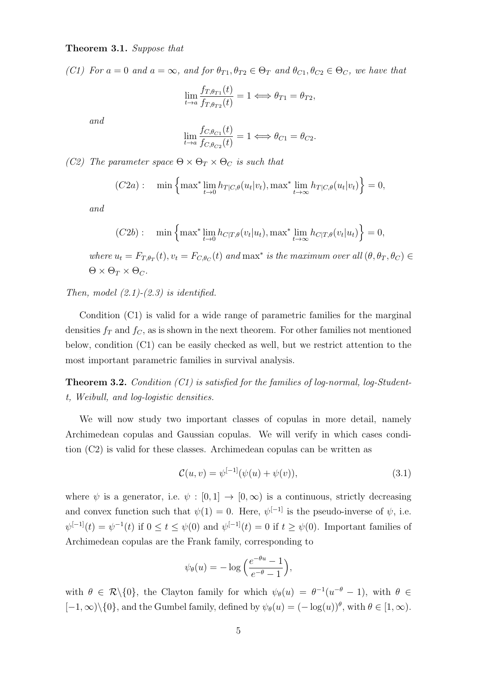#### Theorem 3.1. Suppose that

(C1) For  $a = 0$  and  $a = \infty$ , and for  $\theta_{T1}, \theta_{T2} \in \Theta_T$  and  $\theta_{C1}, \theta_{C2} \in \Theta_C$ , we have that

$$
\lim_{t \to a} \frac{f_{T,\theta_{T1}}(t)}{f_{T,\theta_{T2}}(t)} = 1 \iff \theta_{T1} = \theta_{T2},
$$

and

$$
\lim_{t \to a} \frac{f_{C, \theta_{C1}}(t)}{f_{C, \theta_{C2}}(t)} = 1 \Longleftrightarrow \theta_{C1} = \theta_{C2}.
$$

(C2) The parameter space  $\Theta \times \Theta_T \times \Theta_C$  is such that

$$
(C2a): \quad \min\left\{\max^*\lim_{t\to 0}h_{T|C,\theta}(u_t|v_t),\max^*\lim_{t\to\infty}h_{T|C,\theta}(u_t|v_t)\right\}=0,
$$

and

$$
(C2b): \quad \min\left\{\max^*\lim_{t\to 0}h_{C|T,\theta}(v_t|u_t),\max^*\lim_{t\to\infty}h_{C|T,\theta}(v_t|u_t)\right\}=0,
$$

where  $u_t = F_{T,\theta_T}(t)$ ,  $v_t = F_{C,\theta_C}(t)$  and  $\max^*$  is the maximum over all  $(\theta, \theta_T, \theta_C) \in$  $\Theta \times \Theta_T \times \Theta_C$ .

#### Then, model  $(2.1)-(2.3)$  is identified.

Condition (C1) is valid for a wide range of parametric families for the marginal densities  $f_T$  and  $f_C$ , as is shown in the next theorem. For other families not mentioned below, condition (C1) can be easily checked as well, but we restrict attention to the most important parametric families in survival analysis.

**Theorem 3.2.** Condition  $(Cl)$  is satisfied for the families of log-normal, log-Studentt, Weibull, and log-logistic densities.

We will now study two important classes of copulas in more detail, namely Archimedean copulas and Gaussian copulas. We will verify in which cases condition (C2) is valid for these classes. Archimedean copulas can be written as

$$
\mathcal{C}(u, v) = \psi^{[-1]}(\psi(u) + \psi(v)),\tag{3.1}
$$

where  $\psi$  is a generator, i.e.  $\psi : [0,1] \to [0,\infty)$  is a continuous, strictly decreasing and convex function such that  $\psi(1) = 0$ . Here,  $\psi^{[-1]}$  is the pseudo-inverse of  $\psi$ , i.e.  $\psi^{[-1]}(t) = \psi^{-1}(t)$  if  $0 \le t \le \psi(0)$  and  $\psi^{[-1]}(t) = 0$  if  $t \ge \psi(0)$ . Important families of Archimedean copulas are the Frank family, corresponding to

$$
\psi_{\theta}(u) = -\log\left(\frac{e^{-\theta u} - 1}{e^{-\theta} - 1}\right),\,
$$

with  $\theta \in \mathcal{R}\backslash\{0\}$ , the Clayton family for which  $\psi_{\theta}(u) = \theta^{-1}(u^{-\theta} - 1)$ , with  $\theta \in$  $[-1,\infty)\setminus\{0\}$ , and the Gumbel family, defined by  $\psi_{\theta}(u) = (-\log(u))^{\theta}$ , with  $\theta \in [1,\infty)$ .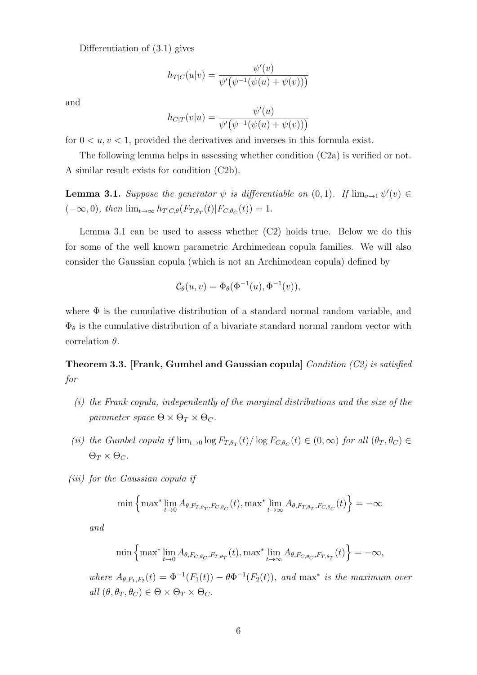Differentiation of (3.1) gives

$$
h_{T|C}(u|v) = \frac{\psi'(v)}{\psi'\big(\psi^{-1}(\psi(u) + \psi(v))\big)}
$$

and

$$
h_{C|T}(v|u) = \frac{\psi'(u)}{\psi'\big(\psi^{-1}(\psi(u) + \psi(v))\big)}
$$

for  $0 \lt u, v \lt 1$ , provided the derivatives and inverses in this formula exist.

The following lemma helps in assessing whether condition (C2a) is verified or not. A similar result exists for condition (C2b).

**Lemma 3.1.** Suppose the generator  $\psi$  is differentiable on  $(0,1)$ . If  $\lim_{v\to 1} \psi'(v) \in$  $(-\infty, 0)$ , then  $\lim_{t\to\infty} h_{T|C,\theta}(F_{T,\theta_T}(t)|F_{C,\theta_C}(t)) = 1$ .

Lemma 3.1 can be used to assess whether (C2) holds true. Below we do this for some of the well known parametric Archimedean copula families. We will also consider the Gaussian copula (which is not an Archimedean copula) defined by

$$
\mathcal{C}_{\theta}(u,v) = \Phi_{\theta}(\Phi^{-1}(u), \Phi^{-1}(v)),
$$

where  $\Phi$  is the cumulative distribution of a standard normal random variable, and  $\Phi_{\theta}$  is the cumulative distribution of a bivariate standard normal random vector with correlation  $\theta$ .

Theorem 3.3. [Frank, Gumbel and Gaussian copula] Condition (C2) is satisfied for

- (i) the Frank copula, independently of the marginal distributions and the size of the parameter space  $\Theta \times \Theta_T \times \Theta_C$ .
- (ii) the Gumbel copula if  $\lim_{t\to 0} \log F_{T,\theta_T}(t) / \log F_{C,\theta_C}(t) \in (0,\infty)$  for all  $(\theta_T, \theta_C) \in$  $\Theta_T \times \Theta_C$ .
- (iii) for the Gaussian copula if

$$
\min\left\{\max^*\lim_{t\to 0} A_{\theta,F_{T,\theta_T},F_{C,\theta_C}}(t),\max^*\lim_{t\to\infty} A_{\theta,F_{T,\theta_T},F_{C,\theta_C}}(t)\right\} = -\infty
$$

and

$$
\min\left\{\max^*\lim_{t\to 0} A_{\theta, F_{C,\theta_C}, F_{T,\theta_T}}(t), \max^*\lim_{t\to\infty} A_{\theta, F_{C,\theta_C}, F_{T,\theta_T}}(t)\right\} = -\infty,
$$

where  $A_{\theta,F_1,F_2}(t) = \Phi^{-1}(F_1(t)) - \theta \Phi^{-1}(F_2(t))$ , and max<sup>\*</sup> is the maximum over all  $(\theta, \theta_T, \theta_C) \in \Theta \times \Theta_T \times \Theta_C$ .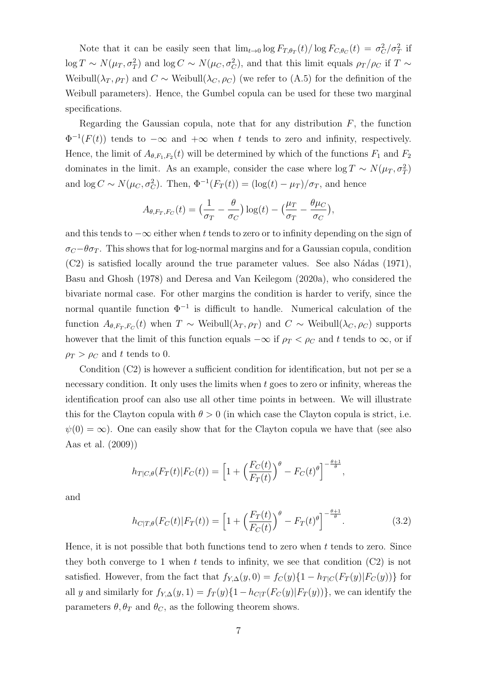Note that it can be easily seen that  $\lim_{t\to 0} \log F_{T,\theta_T}(t) / \log F_{C,\theta_C}(t) = \sigma_C^2 / \sigma_T^2$  if  $\log T \sim N(\mu_T, \sigma_T^2)$  and  $\log C \sim N(\mu_C, \sigma_C^2)$ , and that this limit equals  $\rho_T/\rho_C$  if  $T \sim$ Weibull( $\lambda_T, \rho_T$ ) and  $C \sim$  Weibull( $\lambda_C, \rho_C$ ) (we refer to (A.5) for the definition of the Weibull parameters). Hence, the Gumbel copula can be used for these two marginal specifications.

Regarding the Gaussian copula, note that for any distribution  $F$ , the function  $\Phi^{-1}(F(t))$  tends to  $-\infty$  and  $+\infty$  when t tends to zero and infinity, respectively. Hence, the limit of  $A_{\theta,F_1,F_2}(t)$  will be determined by which of the functions  $F_1$  and  $F_2$ dominates in the limit. As an example, consider the case where  $\log T \sim N(\mu_T, \sigma_T^2)$ and  $\log C \sim N(\mu_C, \sigma_C^2)$ . Then,  $\Phi^{-1}(F_T(t)) = (\log(t) - \mu_T)/\sigma_T$ , and hence

$$
A_{\theta, F_T, F_C}(t) = \left(\frac{1}{\sigma_T} - \frac{\theta}{\sigma_C}\right) \log(t) - \left(\frac{\mu_T}{\sigma_T} - \frac{\theta \mu_C}{\sigma_C}\right),
$$

and this tends to  $-\infty$  either when t tends to zero or to infinity depending on the sign of  $\sigma_C-\theta\sigma_T$ . This shows that for log-normal margins and for a Gaussian copula, condition  $(C2)$  is satisfied locally around the true parameter values. See also Nádas (1971), Basu and Ghosh (1978) and Deresa and Van Keilegom (2020a), who considered the bivariate normal case. For other margins the condition is harder to verify, since the normal quantile function  $\Phi^{-1}$  is difficult to handle. Numerical calculation of the function  $A_{\theta,F_T,F_C}(t)$  when  $T \sim$  Weibull $(\lambda_T, \rho_T)$  and  $C \sim$  Weibull $(\lambda_C, \rho_C)$  supports however that the limit of this function equals  $-\infty$  if  $\rho_T < \rho_C$  and t tends to  $\infty$ , or if  $\rho_T > \rho_C$  and t tends to 0.

Condition (C2) is however a sufficient condition for identification, but not per se a necessary condition. It only uses the limits when  $t$  goes to zero or infinity, whereas the identification proof can also use all other time points in between. We will illustrate this for the Clayton copula with  $\theta > 0$  (in which case the Clayton copula is strict, i.e.  $\psi(0) = \infty$ ). One can easily show that for the Clayton copula we have that (see also Aas et al. (2009))

$$
h_{T|C,\theta}(F_T(t)|F_C(t)) = \left[1 + \left(\frac{F_C(t)}{F_T(t)}\right)^{\theta} - F_C(t)^{\theta}\right]^{-\frac{\theta+1}{\theta}},
$$

and

$$
h_{C|T,\theta}(F_C(t)|F_T(t)) = \left[1 + \left(\frac{F_T(t)}{F_C(t)}\right)^{\theta} - F_T(t)^{\theta}\right]^{-\frac{\theta+1}{\theta}}.
$$
\n(3.2)

Hence, it is not possible that both functions tend to zero when  $t$  tends to zero. Since they both converge to 1 when t tends to infinity, we see that condition  $(C2)$  is not satisfied. However, from the fact that  $f_{Y,\Delta}(y,0) = f_C(y)\{1 - h_{T|C}(F_T(y)|F_C(y))\}$  for all y and similarly for  $f_{Y,\Delta}(y,1) = f_T(y)\{1 - h_{C|T}(F_C(y)|F_T(y))\}$ , we can identify the parameters  $\theta$ ,  $\theta_T$  and  $\theta_C$ , as the following theorem shows.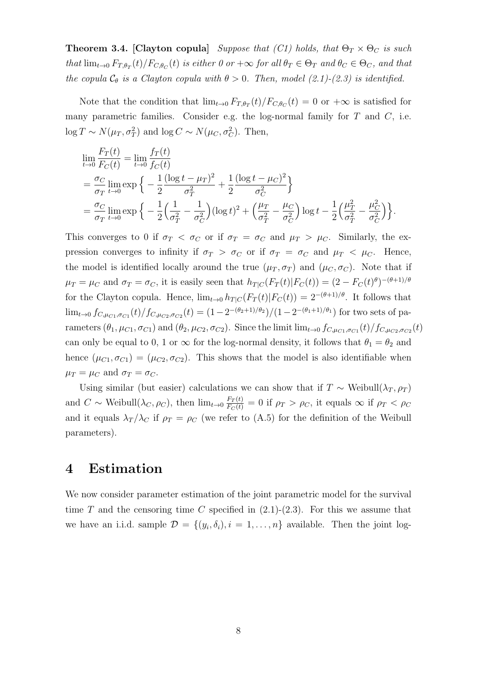**Theorem 3.4.** [Clayton copula] Suppose that (C1) holds, that  $\Theta_T \times \Theta_C$  is such that  $\lim_{t\to 0} F_{T,\theta_T}(t)/F_{C,\theta_C}(t)$  is either 0 or  $+\infty$  for all  $\theta_T \in \Theta_T$  and  $\theta_C \in \Theta_C$ , and that the copula  $C_{\theta}$  is a Clayton copula with  $\theta > 0$ . Then, model (2.1)-(2.3) is identified.

Note that the condition that  $\lim_{t\to 0} F_{T,\theta_T}(t)/F_{C,\theta_C}(t) = 0$  or  $+\infty$  is satisfied for many parametric families. Consider e.g. the log-normal family for  $T$  and  $C$ , i.e.  $\log T \sim N(\mu_T, \sigma_T^2)$  and  $\log C \sim N(\mu_C, \sigma_C^2)$ . Then,

$$
\lim_{t \to 0} \frac{F_T(t)}{F_C(t)} = \lim_{t \to 0} \frac{f_T(t)}{f_C(t)} \n= \frac{\sigma_C}{\sigma_T} \lim_{t \to 0} \exp \left\{ -\frac{1}{2} \frac{(\log t - \mu_T)^2}{\sigma_T^2} + \frac{1}{2} \frac{(\log t - \mu_C)^2}{\sigma_C^2} \right\} \n= \frac{\sigma_C}{\sigma_T} \lim_{t \to 0} \exp \left\{ -\frac{1}{2} \left( \frac{1}{\sigma_T^2} - \frac{1}{\sigma_C^2} \right) (\log t)^2 + \left( \frac{\mu_T}{\sigma_T^2} - \frac{\mu_C}{\sigma_C^2} \right) \log t - \frac{1}{2} \left( \frac{\mu_T^2}{\sigma_T^2} - \frac{\mu_C^2}{\sigma_C^2} \right) \right\}.
$$

This converges to 0 if  $\sigma_T < \sigma_C$  or if  $\sigma_T = \sigma_C$  and  $\mu_T > \mu_C$ . Similarly, the expression converges to infinity if  $\sigma_T > \sigma_C$  or if  $\sigma_T = \sigma_C$  and  $\mu_T < \mu_C$ . Hence, the model is identified locally around the true  $(\mu_T, \sigma_T)$  and  $(\mu_C, \sigma_C)$ . Note that if  $\mu_T = \mu_C$  and  $\sigma_T = \sigma_C$ , it is easily seen that  $h_{T|C}(F_T(t)|F_C(t)) = (2 - F_C(t)^{\theta})^{-(\theta+1)/\theta}$ for the Clayton copula. Hence,  $\lim_{t\to 0} h_{T|C}(F_T(t)|F_C(t)) = 2^{-(\theta+1)/\theta}$ . It follows that  $\lim_{t\to 0} f_{C,\mu_{C1},\sigma_{C1}}(t)/f_{C,\mu_{C2},\sigma_{C2}}(t)=(1-2^{-(\theta_2+1)/\theta_2})/(1-2^{-(\theta_1+1)/\theta_1})$  for two sets of parameters  $(\theta_1, \mu_{C1}, \sigma_{C1})$  and  $(\theta_2, \mu_{C2}, \sigma_{C2})$ . Since the limit  $\lim_{t\to 0} f_{C, \mu_{C1}, \sigma_{C1}}(t)/f_{C, \mu_{C2}, \sigma_{C2}}(t)$ can only be equal to 0, 1 or  $\infty$  for the log-normal density, it follows that  $\theta_1 = \theta_2$  and hence  $(\mu_{C1}, \sigma_{C1}) = (\mu_{C2}, \sigma_{C2})$ . This shows that the model is also identifiable when  $\mu_T = \mu_C$  and  $\sigma_T = \sigma_C$ .

Using similar (but easier) calculations we can show that if  $T \sim$  Weibull( $\lambda_T, \rho_T$ ) and  $C \sim$  Weibull $(\lambda_C, \rho_C)$ , then  $\lim_{t\to 0} \frac{F_T(t)}{F_C(t)} = 0$  if  $\rho_T > \rho_C$ , it equals  $\infty$  if  $\rho_T < \rho_C$ and it equals  $\lambda_T/\lambda_C$  if  $\rho_T = \rho_C$  (we refer to (A.5) for the definition of the Weibull parameters).

#### 4 Estimation

We now consider parameter estimation of the joint parametric model for the survival time T and the censoring time C specified in  $(2.1)-(2.3)$ . For this we assume that we have an i.i.d. sample  $\mathcal{D} = \{(y_i, \delta_i), i = 1, \ldots, n\}$  available. Then the joint log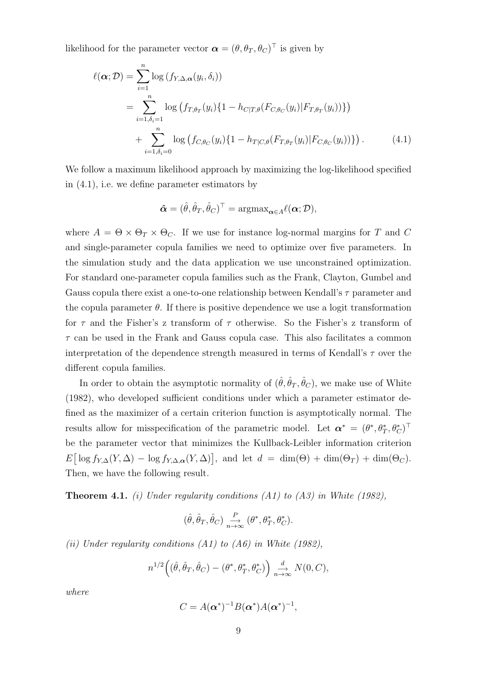likelihood for the parameter vector  $\boldsymbol{\alpha} = (\theta, \theta_T, \theta_C)^{\top}$  is given by

$$
\ell(\boldsymbol{\alpha}; \mathcal{D}) = \sum_{i=1}^{n} \log (f_{Y, \Delta, \boldsymbol{\alpha}}(y_i, \delta_i))
$$
  
= 
$$
\sum_{i=1, \delta_i=1}^{n} \log (f_{T, \theta_T}(y_i) \{1 - h_{C|T, \theta}(F_{C, \theta_C}(y_i)| F_{T, \theta_T}(y_i))\})
$$
  
+ 
$$
\sum_{i=1, \delta_i=0}^{n} \log (f_{C, \theta_C}(y_i) \{1 - h_{T|C, \theta}(F_{T, \theta_T}(y_i)| F_{C, \theta_C}(y_i))\}). \tag{4.1}
$$

We follow a maximum likelihood approach by maximizing the log-likelihood specified in (4.1), i.e. we define parameter estimators by

$$
\boldsymbol{\hat{\alpha}} = (\hat{\theta}, \hat{\theta}_T, \hat{\theta}_C)^\top = \mathrm{argmax}_{\boldsymbol{\alpha} \in A} \ell(\boldsymbol{\alpha}; \mathcal{D}),
$$

where  $A = \Theta \times \Theta_T \times \Theta_C$ . If we use for instance log-normal margins for T and C and single-parameter copula families we need to optimize over five parameters. In the simulation study and the data application we use unconstrained optimization. For standard one-parameter copula families such as the Frank, Clayton, Gumbel and Gauss copula there exist a one-to-one relationship between Kendall's  $\tau$  parameter and the copula parameter  $\theta$ . If there is positive dependence we use a logit transformation for  $\tau$  and the Fisher's z transform of  $\tau$  otherwise. So the Fisher's z transform of  $\tau$  can be used in the Frank and Gauss copula case. This also facilitates a common interpretation of the dependence strength measured in terms of Kendall's  $\tau$  over the different copula families.

In order to obtain the asymptotic normality of  $(\hat{\theta}, \hat{\theta}_T, \hat{\theta}_C)$ , we make use of White (1982), who developed sufficient conditions under which a parameter estimator defined as the maximizer of a certain criterion function is asymptotically normal. The results allow for misspecification of the parametric model. Let  $\boldsymbol{\alpha}^* = (\theta^*, \theta^*_T, \theta^*_C)^\top$ be the parameter vector that minimizes the Kullback-Leibler information criterion  $E\left[\log f_{Y,\Delta}(Y,\Delta) - \log f_{Y,\Delta,\alpha}(Y,\Delta)\right],$  and let  $d = \dim(\Theta) + \dim(\Theta_T) + \dim(\Theta_C).$ Then, we have the following result.

**Theorem 4.1.** (i) Under regularity conditions (A1) to (A3) in White (1982),

$$
(\hat{\theta}, \hat{\theta}_T, \hat{\theta}_C) \underset{n \to \infty}{\xrightarrow{P}} (\theta^*, \theta_T^*, \theta_C^*).
$$

(ii) Under regularity conditions  $(A1)$  to  $(A6)$  in White (1982),

$$
n^{1/2} \Big( (\hat{\theta}, \hat{\theta}_T, \hat{\theta}_C) - (\theta^*, \theta_T^*, \theta_C^*) \Big) \underset{n \to \infty}{\overset{d}{\longrightarrow}} N(0, C),
$$

where

$$
C=A(\boldsymbol{\alpha}^*)^{-1}B(\boldsymbol{\alpha}^*)A(\boldsymbol{\alpha}^*)^{-1},
$$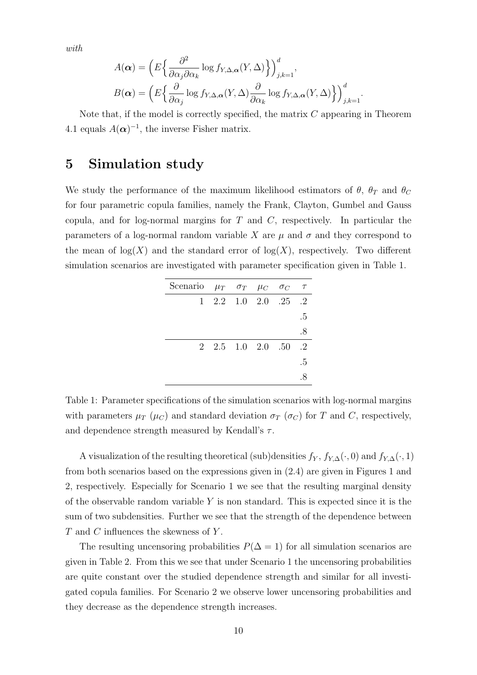with

$$
A(\boldsymbol{\alpha}) = \left( E \left\{ \frac{\partial^2}{\partial \alpha_j \partial \alpha_k} \log f_{Y, \Delta, \boldsymbol{\alpha}}(Y, \Delta) \right\} \right)_{j,k=1}^d,
$$
  

$$
B(\boldsymbol{\alpha}) = \left( E \left\{ \frac{\partial}{\partial \alpha_j} \log f_{Y, \Delta, \boldsymbol{\alpha}}(Y, \Delta) \frac{\partial}{\partial \alpha_k} \log f_{Y, \Delta, \boldsymbol{\alpha}}(Y, \Delta) \right\} \right)_{j,k=1}^d
$$

.

Note that, if the model is correctly specified, the matrix  $C$  appearing in Theorem 4.1 equals  $A(\boldsymbol{\alpha})^{-1}$ , the inverse Fisher matrix.

#### 5 Simulation study

We study the performance of the maximum likelihood estimators of  $\theta$ ,  $\theta_T$  and  $\theta_C$ for four parametric copula families, namely the Frank, Clayton, Gumbel and Gauss copula, and for log-normal margins for  $T$  and  $C$ , respectively. In particular the parameters of a log-normal random variable X are  $\mu$  and  $\sigma$  and they correspond to the mean of  $log(X)$  and the standard error of  $log(X)$ , respectively. Two different simulation scenarios are investigated with parameter specification given in Table 1.

| Scenario $\mu_T$ $\sigma_T$ $\mu_C$ $\sigma_C$ $\tau$ |  |                                                      |    |
|-------------------------------------------------------|--|------------------------------------------------------|----|
|                                                       |  | $1 \quad 2.2 \quad 1.0 \quad 2.0 \quad .25 \quad .2$ |    |
|                                                       |  |                                                      | .5 |
|                                                       |  |                                                      | .8 |
|                                                       |  | $2\quad 2.5\quad 1.0\quad 2.0\quad .50$              | .2 |
|                                                       |  |                                                      | .5 |
|                                                       |  |                                                      |    |

Table 1: Parameter specifications of the simulation scenarios with log-normal margins with parameters  $\mu_T$  ( $\mu_C$ ) and standard deviation  $\sigma_T$  ( $\sigma_C$ ) for T and C, respectively, and dependence strength measured by Kendall's  $\tau$ .

A visualization of the resulting theoretical (sub)densities  $f_Y$ ,  $f_{Y,\Delta}(\cdot,0)$  and  $f_{Y,\Delta}(\cdot,1)$ from both scenarios based on the expressions given in (2.4) are given in Figures 1 and 2, respectively. Especially for Scenario 1 we see that the resulting marginal density of the observable random variable  $Y$  is non standard. This is expected since it is the sum of two subdensities. Further we see that the strength of the dependence between T and C influences the skewness of Y .

The resulting uncensoring probabilities  $P(\Delta = 1)$  for all simulation scenarios are given in Table 2. From this we see that under Scenario 1 the uncensoring probabilities are quite constant over the studied dependence strength and similar for all investigated copula families. For Scenario 2 we observe lower uncensoring probabilities and they decrease as the dependence strength increases.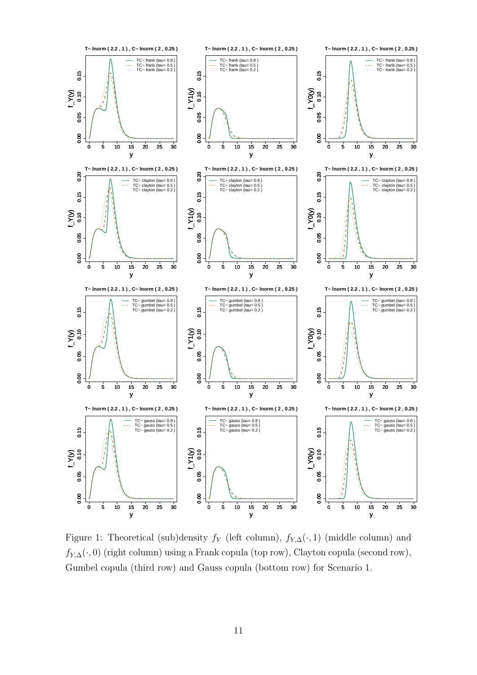

Figure 1: Theoretical (sub)density  $f_Y$  (left column),  $f_{Y,\Delta}(\cdot,1)$  (middle column) and  $f_{Y,\Delta}(\cdot,0)$  (right column) using a Frank copula (top row), Clayton copula (second row), Gumbel copula (third row) and Gauss copula (bottom row) for Scenario 1.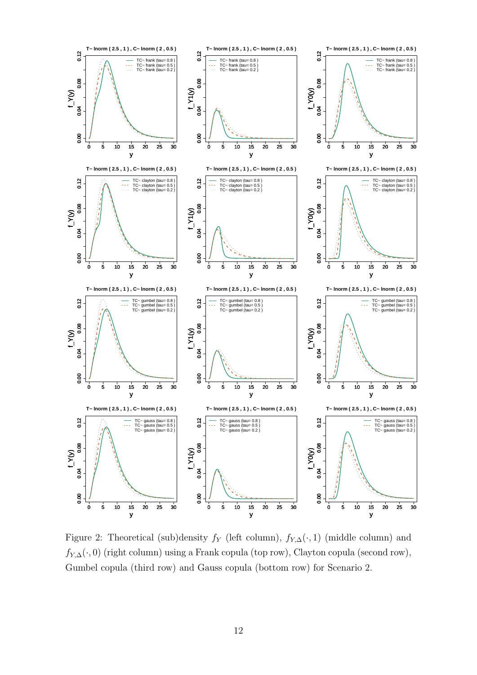

Figure 2: Theoretical (sub)density  $f_Y$  (left column),  $f_{Y,\Delta}(\cdot,1)$  (middle column) and  $f_{Y,\Delta}(\cdot,0)$  (right column) using a Frank copula (top row), Clayton copula (second row), Gumbel copula (third row) and Gauss copula (bottom row) for Scenario 2.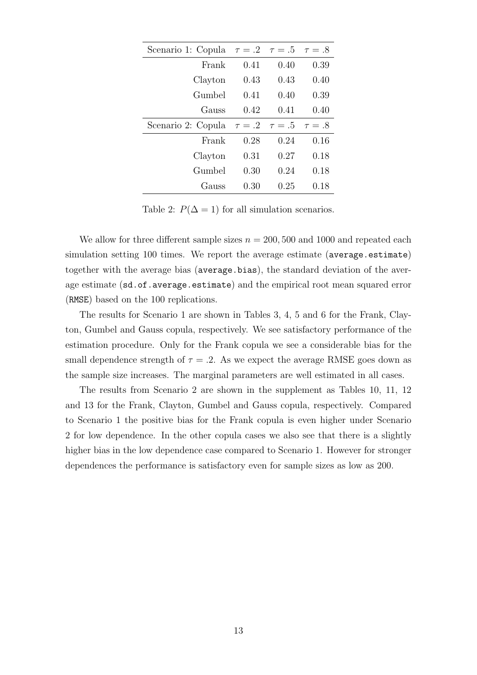| Scenario 1: Copula $\tau = .2$ $\tau = .5$ $\tau = .8$ |      |      |      |
|--------------------------------------------------------|------|------|------|
| Frank                                                  | 0.41 | 0.40 | 0.39 |
| Clayton                                                | 0.43 | 0.43 | 0.40 |
| Gumbel                                                 | 0.41 | 0.40 | 0.39 |
| Gauss                                                  | 0.42 | 0.41 | 0.40 |
| Scenario 2: Copula $\tau = .2$ $\tau = .5$ $\tau = .8$ |      |      |      |
|                                                        |      |      |      |
| Frank                                                  | 0.28 | 0.24 | 0.16 |
| Clayton                                                | 0.31 | 0.27 | 0.18 |
| Gumbel                                                 | 0.30 | 0.24 | 0.18 |

Table 2:  $P(\Delta = 1)$  for all simulation scenarios.

We allow for three different sample sizes  $n = 200, 500$  and 1000 and repeated each simulation setting 100 times. We report the average estimate (average.estimate) together with the average bias (average.bias), the standard deviation of the average estimate (sd.of.average.estimate) and the empirical root mean squared error (RMSE) based on the 100 replications.

The results for Scenario 1 are shown in Tables 3, 4, 5 and 6 for the Frank, Clayton, Gumbel and Gauss copula, respectively. We see satisfactory performance of the estimation procedure. Only for the Frank copula we see a considerable bias for the small dependence strength of  $\tau = .2$ . As we expect the average RMSE goes down as the sample size increases. The marginal parameters are well estimated in all cases.

The results from Scenario 2 are shown in the supplement as Tables 10, 11, 12 and 13 for the Frank, Clayton, Gumbel and Gauss copula, respectively. Compared to Scenario 1 the positive bias for the Frank copula is even higher under Scenario 2 for low dependence. In the other copula cases we also see that there is a slightly higher bias in the low dependence case compared to Scenario 1. However for stronger dependences the performance is satisfactory even for sample sizes as low as 200.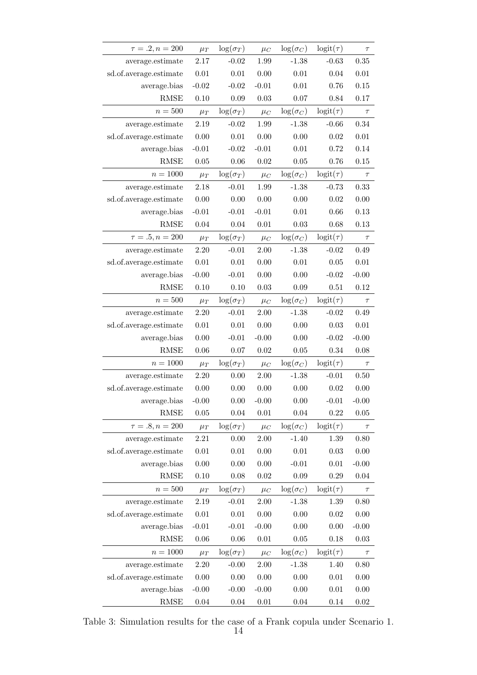| $\tau=.2, n = 200$     | $\mu_T$  | $\log(\sigma_T)$ | $\mu_C$    | $\log(\sigma_C)$ | $logit(\tau)$ | $\tau$   |
|------------------------|----------|------------------|------------|------------------|---------------|----------|
| average.estimate       | 2.17     | $-0.02$          | 1.99       | $-1.38$          | $-0.63$       | 0.35     |
| sd.of.average.estimate | 0.01     | $0.01\,$         | 0.00       | $0.01\,$         | 0.04          | 0.01     |
| average.bias           | $-0.02$  | $-0.02$          | $-0.01$    | 0.01             | 0.76          | 0.15     |
| <b>RMSE</b>            | 0.10     | $0.09\,$         | $\rm 0.03$ | 0.07             | 0.84          | 0.17     |
| $n=500$                | $\mu_T$  | $\log(\sigma_T)$ | $\mu_C$    | $\log(\sigma_C)$ | $logit(\tau)$ | $\tau$   |
| average.estimate       | 2.19     | $-0.02$          | 1.99       | $-1.38$          | $-0.66$       | 0.34     |
| sd.of.average.estimate | 0.00     | $0.01\,$         | 0.00       | 0.00             | 0.02          | $0.01\,$ |
| average.bias           | $-0.01$  | $-0.02$          | $-0.01$    | $0.01\,$         | 0.72          | 0.14     |
| <b>RMSE</b>            | 0.05     | 0.06             | $0.02\,$   | 0.05             | 0.76          | 0.15     |
| $n=1000$               | $\mu_T$  | $\log(\sigma_T)$ | $\mu_C$    | $\log(\sigma_C)$ | $logit(\tau)$ | $\tau$   |
| average.estimate       | 2.18     | $-0.01$          | 1.99       | $-1.38$          | $-0.73$       | 0.33     |
| sd.of.average.estimate | 0.00     | 0.00             | 0.00       | 0.00             | 0.02          | 0.00     |
| average.bias           | $-0.01$  | $-0.01$          | $-0.01$    | $0.01\,$         | 0.66          | 0.13     |
| <b>RMSE</b>            | 0.04     | 0.04             | $0.01\,$   | $0.03\,$         | 0.68          | 0.13     |
| $\tau=.5, n = 200$     | $\mu_T$  | $\log(\sigma_T)$ | $\mu_C$    | $\log(\sigma_C)$ | $logit(\tau)$ | $\tau$   |
| average.estimate       | 2.20     | $-0.01$          | 2.00       | $-1.38$          | $-0.02$       | 0.49     |
| sd.of.average.estimate | $0.01\,$ | $0.01\,$         | 0.00       | $0.01\,$         | 0.05          | 0.01     |
| average.bias           | $-0.00$  | $-0.01$          | 0.00       | 0.00             | $-0.02$       | $-0.00$  |
| <b>RMSE</b>            | 0.10     | 0.10             | 0.03       | 0.09             | 0.51          | 0.12     |
| $n=500$                | $\mu_T$  | $\log(\sigma_T)$ | $\mu_C$    | $\log(\sigma_C)$ | $logit(\tau)$ | $\tau$   |
| average.estimate       | 2.20     | $-0.01$          | 2.00       | $-1.38$          | $-0.02$       | 0.49     |
| sd.of.average.estimate | $0.01\,$ | $0.01\,$         | $0.00\,$   | 0.00             | 0.03          | $0.01\,$ |
| average.bias           | 0.00     | $-0.01$          | $-0.00$    | 0.00             | $-0.02$       | $-0.00$  |
| <b>RMSE</b>            | 0.06     | 0.07             | 0.02       | $0.05\,$         | 0.34          | 0.08     |
| $n = 1000$             | $\mu_T$  | $\log(\sigma_T)$ | $\mu_C$    | $\log(\sigma_C)$ | $logit(\tau)$ | $\tau$   |
| average.estimate       | 2.20     | 0.00             | $2.00\,$   | $-1.38$          | $-0.01$       | 0.50     |
| sd.of.average.estimate | 0.00     | 0.00             | 0.00       | 0.00             | 0.02          | 0.00     |
| average.bias           | $-0.00$  | 0.00             | $-0.00$    | 0.00             | $-0.01$       | $-0.00$  |
| <b>RMSE</b>            | 0.05     | 0.04             | 0.01       | 0.04             | 0.22          | 0.05     |
| $\tau = .8, n = 200$   | $\mu_T$  | $\log(\sigma_T)$ | $\mu_C$    | $\log(\sigma_C)$ | $logit(\tau)$ | $\tau$   |
| average.estimate       | 2.21     | 0.00             | 2.00       | $-1.40$          | 1.39          | 0.80     |
| sd.of.average.estimate | 0.01     | $0.01\,$         | 0.00       | $0.01\,$         | 0.03          | 0.00     |
| average.bias           | 0.00     | 0.00             | 0.00       | $-0.01$          | $0.01\,$      | $-0.00$  |
| <b>RMSE</b>            | 0.10     | 0.08             | 0.02       | 0.09             | 0.29          | 0.04     |
| $n=500$                | $\mu_T$  | $\log(\sigma_T)$ | $\mu_C$    | $\log(\sigma_C)$ | $logit(\tau)$ | $\tau$   |
| average.estimate       | 2.19     | $-0.01$          | 2.00       | $-1.38$          | 1.39          | 0.80     |
| sd.of.average.estimate | $0.01\,$ | $0.01\,$         | 0.00       | 0.00             | 0.02          | 0.00     |
| average.bias           | $-0.01$  | $-0.01$          | $-0.00$    | 0.00             | 0.00          | $-0.00$  |
| <b>RMSE</b>            | 0.06     | 0.06             | $0.01\,$   | $0.05\,$         | 0.18          | 0.03     |
| $n = 1000$             | $\mu_T$  | $\log(\sigma_T)$ | $\mu_C$    | $\log(\sigma_C)$ | $logit(\tau)$ | $\tau$   |
| average.estimate       | 2.20     | $-0.00$          | $2.00\,$   | $-1.38$          | 1.40          | 0.80     |
| sd.of.average.estimate | 0.00     | 0.00             | 0.00       | $0.00\,$         | 0.01          | 0.00     |
| average.bias           | $-0.00$  | $-0.00$          | $-0.00$    | 0.00             | 0.01          | 0.00     |
| $\operatorname{RMSE}$  | $0.04\,$ | 0.04             | $0.01\,$   | 0.04             | 0.14          | $0.02\,$ |

Table 3: Simulation results for the case of a Frank copula under Scenario 1.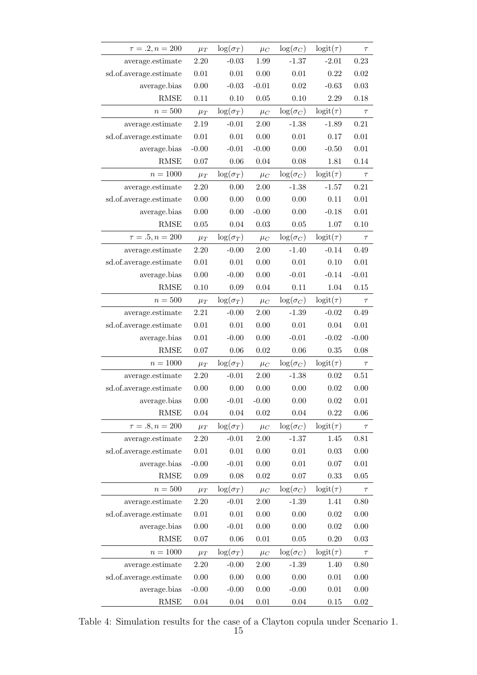| $\tau=.2, n = 200$     | $\mu_T$  | $\log(\sigma_T)$ | $\mu_C$  | $\log(\sigma_C)$ | $logit(\tau)$ | $\tau$   |
|------------------------|----------|------------------|----------|------------------|---------------|----------|
| average.estimate       | 2.20     | $-0.03$          | 1.99     | $-1.37$          | $-2.01$       | 0.23     |
| sd.of.average.estimate | 0.01     | 0.01             | 0.00     | $0.01\,$         | 0.22          | 0.02     |
| average.bias           | 0.00     | $-0.03$          | $-0.01$  | 0.02             | $-0.63$       | 0.03     |
| <b>RMSE</b>            | $0.11\,$ | 0.10             | 0.05     | 0.10             | $2.29\,$      | 0.18     |
| $n=500$                | $\mu_T$  | $\log(\sigma_T)$ | $\mu_C$  | $\log(\sigma_C)$ | $logit(\tau)$ | $\tau$   |
| average.estimate       | 2.19     | $-0.01$          | 2.00     | $-1.38$          | $-1.89$       | 0.21     |
| sd.of.average.estimate | $0.01\,$ | $0.01\,$         | 0.00     | $0.01\,$         | 0.17          | 0.01     |
| average.bias           | $-0.00$  | $-0.01$          | $-0.00$  | 0.00             | $-0.50$       | $0.01\,$ |
| <b>RMSE</b>            | 0.07     | 0.06             | 0.04     | 0.08             | 1.81          | 0.14     |
| $n = 1000$             | $\mu_T$  | $\log(\sigma_T)$ | $\mu_C$  | $\log(\sigma_C)$ | $logit(\tau)$ | $\tau$   |
| average.estimate       | 2.20     | 0.00             | 2.00     | $-1.38$          | $-1.57$       | 0.21     |
| sd.of.average.estimate | 0.00     | 0.00             | 0.00     | 0.00             | 0.11          | $0.01\,$ |
| average.bias           | 0.00     | 0.00             | $-0.00$  | 0.00             | $-0.18$       | $0.01\,$ |
| <b>RMSE</b>            | 0.05     | 0.04             | 0.03     | 0.05             | 1.07          | 0.10     |
| $\tau = .5, n = 200$   | $\mu_T$  | $\log(\sigma_T)$ | $\mu_C$  | $\log(\sigma_C)$ | $logit(\tau)$ | $\tau$   |
| average.estimate       | 2.20     | $-0.00$          | 2.00     | $-1.40$          | $-0.14$       | 0.49     |
| sd.of.average.estimate | 0.01     | 0.01             | 0.00     | $0.01\,$         | 0.10          | 0.01     |
| average.bias           | 0.00     | $-0.00$          | 0.00     | $-0.01$          | $-0.14$       | $-0.01$  |
| <b>RMSE</b>            | 0.10     | 0.09             | 0.04     | 0.11             | 1.04          | 0.15     |
| $n=500$                | $\mu_T$  | $\log(\sigma_T)$ | $\mu_C$  | $\log(\sigma_C)$ | $logit(\tau)$ | $\tau$   |
| average.estimate       | $2.21\,$ | $-0.00$          | 2.00     | $-1.39$          | $-0.02$       | 0.49     |
| sd.of.average.estimate | $0.01\,$ | 0.01             | 0.00     | $0.01\,$         | 0.04          | 0.01     |
| average.bias           | $0.01\,$ | $-0.00$          | 0.00     | $-0.01$          | $-0.02$       | $-0.00$  |
| <b>RMSE</b>            | 0.07     | 0.06             | 0.02     | 0.06             | 0.35          | 0.08     |
| $n = 1000$             | $\mu_T$  | $\log(\sigma_T)$ | $\mu_C$  | $\log(\sigma_C)$ | $logit(\tau)$ | $\tau$   |
| average.estimate       | 2.20     | $-0.01$          | $2.00\,$ | $-1.38$          | 0.02          | $0.51\,$ |
| sd.of.average.estimate | 0.00     | 0.00             | 0.00     | 0.00             | 0.02          | 0.00     |
| average.bias           | $0.00\,$ | $-0.01$          | $-0.00$  | 0.00             | 0.02          | 0.01     |
| <b>RMSE</b>            | 0.04     | 0.04             | $0.02\,$ | 0.04             | 0.22          | 0.06     |
| $\tau = .8, n = 200$   | $\mu_T$  | $\log(\sigma_T)$ | $\mu_C$  | $\log(\sigma_C)$ | $logit(\tau)$ | $\tau$   |
| average.estimate       | 2.20     | $-0.01$          | $2.00\,$ | $-1.37$          | 1.45          | 0.81     |
| sd.of.average.estimate | 0.01     | 0.01             | 0.00     | 0.01             | $0.03\,$      | 0.00     |
| average.bias           | $-0.00$  | $-0.01$          | $0.00\,$ | $0.01\,$         | 0.07          | $0.01\,$ |
| <b>RMSE</b>            | $0.09\,$ | 0.08             | $0.02\,$ | 0.07             | 0.33          | 0.05     |
| $n=500$                | $\mu_T$  | $\log(\sigma_T)$ | $\mu_C$  | $\log(\sigma_C)$ | $logit(\tau)$ | $\tau$   |
| average.estimate       | 2.20     | $-0.01$          | $2.00\,$ | $-1.39$          | 1.41          | 0.80     |
| sd.of.average.estimate | $0.01\,$ | $0.01\,$         | 0.00     | 0.00             | 0.02          | 0.00     |
| average.bias           | 0.00     | $-0.01$          | 0.00     | 0.00             | 0.02          | 0.00     |
| <b>RMSE</b>            | 0.07     | 0.06             | $0.01\,$ | $0.05\,$         | 0.20          | 0.03     |
| $n = 1000$             | $\mu_T$  | $\log(\sigma_T)$ | $\mu_C$  | $\log(\sigma_C)$ | $logit(\tau)$ | $\tau$   |
| average.estimate       | 2.20     | $-0.00$          | $2.00\,$ | $-1.39$          | 1.40          | 0.80     |
| sd.of.average.estimate | 0.00     | 0.00             | 0.00     | 0.00             | 0.01          | 0.00     |
| average.bias           | $-0.00$  | $-0.00$          | 0.00     | $-0.00$          | 0.01          | 0.00     |
| RMSE                   | 0.04     | $0.04\,$         | $0.01\,$ | 0.04             | 0.15          | 0.02     |

Table 4: Simulation results for the case of a Clayton copula under Scenario 1.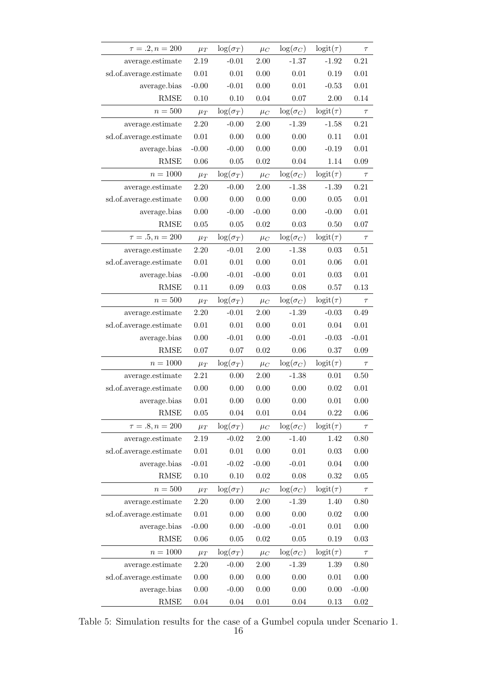| $\tau = .2, n = 200$   | $\mu_T$  | $\log(\sigma_T)$ | $\mu_C$  | $\log(\sigma_C)$ | $logit(\tau)$ | $\tau$   |
|------------------------|----------|------------------|----------|------------------|---------------|----------|
| average.estimate       | 2.19     | $-0.01$          | 2.00     | $-1.37$          | $-1.92$       | 0.21     |
| sd.of.average.estimate | $0.01\,$ | 0.01             | 0.00     | $0.01\,$         | 0.19          | 0.01     |
| average.bias           | $-0.00$  | $-0.01$          | 0.00     | $0.01\,$         | $-0.53$       | $0.01\,$ |
| <b>RMSE</b>            | 0.10     | 0.10             | 0.04     | 0.07             | $2.00\,$      | 0.14     |
| $n=500\,$              | $\mu_T$  | $\log(\sigma_T)$ | $\mu_C$  | $\log(\sigma_C)$ | $logit(\tau)$ | $\tau$   |
| average.estimate       | 2.20     | $-0.00$          | 2.00     | $-1.39$          | $-1.58$       | 0.21     |
| sd.of.average.estimate | $0.01\,$ | 0.00             | 0.00     | 0.00             | 0.11          | 0.01     |
| average.bias           | $-0.00$  | $-0.00$          | 0.00     | 0.00             | $-0.19$       | $0.01\,$ |
| <b>RMSE</b>            | 0.06     | 0.05             | 0.02     | 0.04             | 1.14          | 0.09     |
| $n = 1000$             | $\mu_T$  | $\log(\sigma_T)$ | $\mu_C$  | $\log(\sigma_C)$ | $logit(\tau)$ | $\tau$   |
| average.estimate       | 2.20     | $-0.00$          | 2.00     | $-1.38$          | $-1.39$       | 0.21     |
| sd.of.average.estimate | 0.00     | 0.00             | 0.00     | 0.00             | 0.05          | $0.01\,$ |
| average.bias           | 0.00     | $-0.00$          | $-0.00$  | 0.00             | $-0.00$       | 0.01     |
| <b>RMSE</b>            | $0.05\,$ | $0.05\,$         | 0.02     | 0.03             | 0.50          | $0.07\,$ |
| $\tau=.5, n = 200$     | $\mu_T$  | $\log(\sigma_T)$ | $\mu_C$  | $\log(\sigma_C)$ | $logit(\tau)$ | $\tau$   |
| average.estimate       | 2.20     | $-0.01$          | 2.00     | $-1.38$          | 0.03          | 0.51     |
| sd.of.average.estimate | $0.01\,$ | $0.01\,$         | 0.00     | $0.01\,$         | 0.06          | $0.01\,$ |
| average.bias           | $-0.00$  | $-0.01$          | $-0.00$  | $0.01\,$         | 0.03          | $0.01\,$ |
| <b>RMSE</b>            | 0.11     | 0.09             | 0.03     | 0.08             | 0.57          | 0.13     |
| $n=500$                | $\mu_T$  | $\log(\sigma_T)$ | $\mu_C$  | $\log(\sigma_C)$ | $logit(\tau)$ | $\tau$   |
| average.estimate       | 2.20     | $-0.01$          | 2.00     | $-1.39$          | $-0.03$       | 0.49     |
| sd.of.average.estimate | $0.01\,$ | 0.01             | 0.00     | $0.01\,$         | 0.04          | 0.01     |
| average.bias           | 0.00     | $-0.01$          | 0.00     | $-0.01$          | $-0.03$       | $-0.01$  |
| <b>RMSE</b>            | 0.07     | 0.07             | 0.02     | 0.06             | 0.37          | 0.09     |
| $n = 1000$             | $\mu_T$  | $\log(\sigma_T)$ | $\mu_C$  | $\log(\sigma_C)$ | $logit(\tau)$ | $\tau$   |
| average.estimate       | $2.21\,$ | 0.00             | 2.00     | $-1.38$          | 0.01          | 0.50     |
| sd.of.average.estimate | 0.00     | 0.00             | 0.00     | 0.00             | 0.02          | 0.01     |
| average.bias           | $0.01\,$ | 0.00             | 0.00     | 0.00             | 0.01          | 0.00     |
| <b>RMSE</b>            | $0.05\,$ | 0.04             | 0.01     | 0.04             | 0.22          | 0.06     |
| $\tau = .8, n = 200$   | $\mu_T$  | $\log(\sigma_T)$ | $\mu_C$  | $\log(\sigma_C)$ | $logit(\tau)$ | $\tau$   |
| average.estimate       | 2.19     | $-0.02$          | 2.00     | $-1.40$          | 1.42          | 0.80     |
| sd.of.average.estimate | 0.01     | 0.01             | 0.00     | $0.01\,$         | $\rm 0.03$    | 0.00     |
| average.bias           | $-0.01$  | $-0.02$          | $-0.00$  | $-0.01$          | 0.04          | 0.00     |
| <b>RMSE</b>            | 0.10     | 0.10             | 0.02     | 0.08             | 0.32          | 0.05     |
| $n = 500$              | $\mu_T$  | $\log(\sigma_T)$ | $\mu_C$  | $\log(\sigma_C)$ | $logit(\tau)$ | $\tau$   |
| average.estimate       | 2.20     | 0.00             | 2.00     | $-1.39$          | 1.40          | 0.80     |
| sd.of.average.estimate | $0.01\,$ | $0.00\,$         | 0.00     | 0.00             | 0.02          | 0.00     |
| average.bias           | $-0.00$  | 0.00             | $-0.00$  | $-0.01$          | 0.01          | 0.00     |
| <b>RMSE</b>            | $0.06\,$ | $0.05\,$         | 0.02     | $0.05\,$         | 0.19          | 0.03     |
| $n = 1000$             | $\mu_T$  | $\log(\sigma_T)$ | $\mu_C$  | $\log(\sigma_C)$ | $logit(\tau)$ | $\tau$   |
| average.estimate       | 2.20     | $-0.00$          | $2.00\,$ | $-1.39$          | 1.39          | 0.80     |
| sd.of.average.estimate | $0.00\,$ | $0.00\,$         | 0.00     | 0.00             | 0.01          | 0.00     |
| average.bias           | 0.00     | $-0.00$          | 0.00     | 0.00             | 0.00          | $-0.00$  |
| RMSE                   | $0.04\,$ | $0.04\,$         | $0.01\,$ | 0.04             | 0.13          | 0.02     |

Table 5: Simulation results for the case of a Gumbel copula under Scenario 1.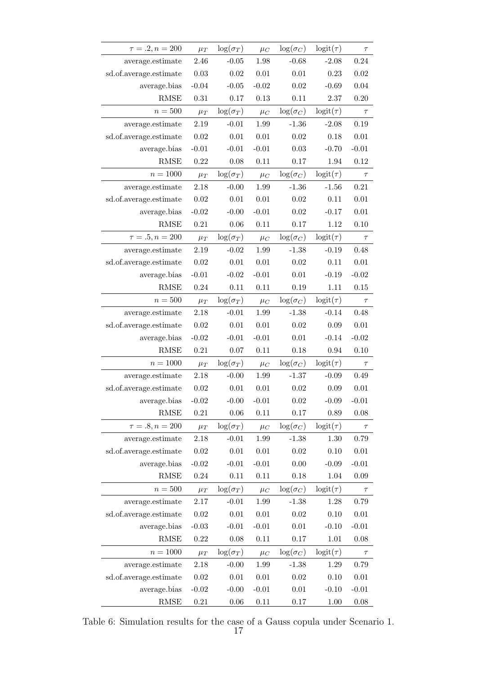| $\tau=.2, n = 200$     | $\mu_T$    | $\log(\sigma_T)$ | $\mu_C$  | $\log(\sigma_C)$ | $logit(\tau)$ | $\tau$   |
|------------------------|------------|------------------|----------|------------------|---------------|----------|
| average.estimate       | 2.46       | $-0.05$          | 1.98     | $-0.68$          | $-2.08$       | 0.24     |
| sd.of.average.estimate | 0.03       | 0.02             | $0.01\,$ | $0.01\,$         | 0.23          | 0.02     |
| average.bias           | $-0.04$    | $-0.05$          | $-0.02$  | 0.02             | $-0.69$       | 0.04     |
| <b>RMSE</b>            | $0.31\,$   | 0.17             | 0.13     | 0.11             | $2.37\,$      | 0.20     |
| $n=500$                | $\mu_T$    | $\log(\sigma_T)$ | $\mu_C$  | $\log(\sigma_C)$ | $logit(\tau)$ | $\tau$   |
| average.estimate       | 2.19       | $-0.01$          | 1.99     | $-1.36$          | $-2.08$       | 0.19     |
| sd.of.average.estimate | 0.02       | $0.01\,$         | $0.01\,$ | 0.02             | 0.18          | $0.01\,$ |
| average.bias           | $-0.01$    | $-0.01$          | $-0.01$  | 0.03             | $-0.70$       | $-0.01$  |
| <b>RMSE</b>            | 0.22       | 0.08             | 0.11     | 0.17             | 1.94          | 0.12     |
| $n = 1000$             | $\mu_T$    | $\log(\sigma_T)$ | $\mu_C$  | $\log(\sigma_C)$ | $logit(\tau)$ | $\tau$   |
| average.estimate       | 2.18       | $-0.00$          | 1.99     | $-1.36$          | $-1.56$       | 0.21     |
| sd.of.average.estimate | 0.02       | 0.01             | $0.01\,$ | 0.02             | 0.11          | 0.01     |
| average.bias           | $-0.02$    | $-0.00$          | $-0.01$  | 0.02             | $-0.17$       | $0.01\,$ |
| <b>RMSE</b>            | $0.21\,$   | $0.06\,$         | 0.11     | 0.17             | 1.12          | 0.10     |
| $\tau=.5, n = 200$     | $\mu_T$    | $\log(\sigma_T)$ | $\mu_C$  | $\log(\sigma_C)$ | $logit(\tau)$ | $\tau$   |
| average.estimate       | 2.19       | $-0.02$          | 1.99     | $-1.38$          | $-0.19$       | 0.48     |
| sd.of.average.estimate | $0.02\,$   | $0.01\,$         | $0.01\,$ | 0.02             | 0.11          | $0.01\,$ |
| average.bias           | $-0.01$    | $-0.02$          | $-0.01$  | $0.01\,$         | $-0.19$       | $-0.02$  |
| <b>RMSE</b>            | 0.24       | 0.11             | 0.11     | 0.19             | 1.11          | 0.15     |
| $n=500\,$              | $\mu_T$    | $\log(\sigma_T)$ | $\mu_C$  | $\log(\sigma_C)$ | $logit(\tau)$ | $\tau$   |
| average.estimate       | 2.18       | $-0.01$          | 1.99     | $-1.38$          | $-0.14$       | 0.48     |
| sd.of.average.estimate | $0.02\,$   | $0.01\,$         | $0.01\,$ | 0.02             | $0.09\,$      | 0.01     |
| average.bias           | $-0.02$    | $-0.01$          | $-0.01$  | $0.01\,$         | $-0.14$       | $-0.02$  |
| <b>RMSE</b>            | $\rm 0.21$ | 0.07             | 0.11     | 0.18             | 0.94          | 0.10     |
| $n = 1000$             | $\mu_T$    | $\log(\sigma_T)$ | $\mu_C$  | $\log(\sigma_C)$ | $logit(\tau)$ | $\tau$   |
| average.estimate       | 2.18       | $-0.00$          | 1.99     | $-1.37$          | $-0.09$       | 0.49     |
| sd.of.average.estimate | $0.02\,$   | $0.01\,$         | 0.01     | 0.02             | 0.09          | 0.01     |
| average.bias           | $-0.02$    | $-0.00$          | $-0.01$  | 0.02             | $-0.09$       | $-0.01$  |
| <b>RMSE</b>            | 0.21       | 0.06             | 0.11     | 0.17             | $0.89\,$      | 0.08     |
| $\tau = .8, n = 200$   | $\mu_T$    | $\log(\sigma_T)$ | $\mu_C$  | $\log(\sigma_C)$ | $logit(\tau)$ | $\tau$   |
| average.estimate       | 2.18       | $-0.01$          | 1.99     | $-1.38$          | 1.30          | 0.79     |
| sd.of.average.estimate | $0.02\,$   | $0.01\,$         | $0.01\,$ | 0.02             | 0.10          | 0.01     |
| average.bias           | $-0.02$    | $-0.01$          | $-0.01$  | 0.00             | $-0.09$       | $-0.01$  |
| <b>RMSE</b>            | $0.24\,$   | 0.11             | 0.11     | 0.18             | 1.04          | 0.09     |
| $n=500$                | $\mu_T$    | $\log(\sigma_T)$ | $\mu_C$  | $\log(\sigma_C)$ | $logit(\tau)$ | $\tau$   |
| average.estimate       | 2.17       | $-0.01$          | 1.99     | $-1.38$          | 1.28          | 0.79     |
| sd.of.average.estimate | 0.02       | $0.01\,$         | $0.01\,$ | 0.02             | 0.10          | $0.01\,$ |
| average.bias           | $-0.03$    | $-0.01$          | $-0.01$  | $0.01\,$         | $-0.10$       | $-0.01$  |
| RMSE                   | 0.22       | 0.08             | 0.11     | 0.17             | 1.01          | 0.08     |
| $n = 1000$             | $\mu_T$    | $\log(\sigma_T)$ | $\mu_C$  | $\log(\sigma_C)$ | $logit(\tau)$ | $\tau$   |
| average.estimate       | 2.18       | $-0.00$          | 1.99     | $-1.38$          | $1.29\,$      | 0.79     |
| sd.of.average.estimate | $0.02\,$   | $0.01\,$         | $0.01\,$ | $0.02\,$         | 0.10          | $0.01\,$ |
| average.bias           | $-0.02$    | $-0.00$          | $-0.01$  | 0.01             | $-0.10$       | $-0.01$  |
| RMSE                   | 0.21       | 0.06             | 0.11     | 0.17             | 1.00          | 0.08     |

Table 6: Simulation results for the case of a Gauss copula under Scenario 1.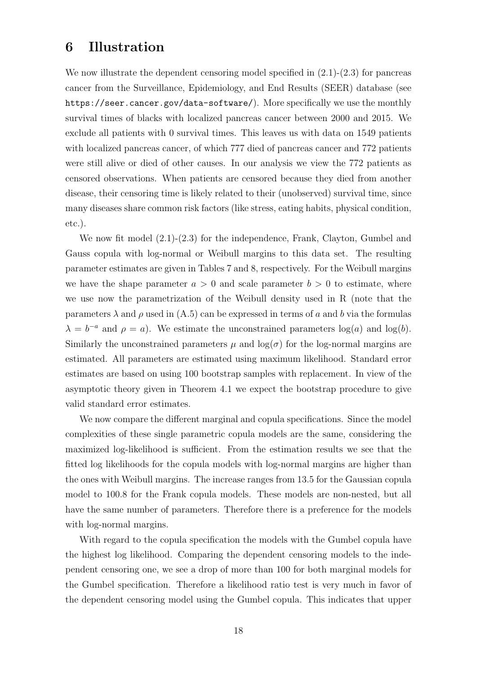#### 6 Illustration

We now illustrate the dependent censoring model specified in  $(2.1)-(2.3)$  for pancreas cancer from the Surveillance, Epidemiology, and End Results (SEER) database (see https://seer.cancer.gov/data-software/). More specifically we use the monthly survival times of blacks with localized pancreas cancer between 2000 and 2015. We exclude all patients with 0 survival times. This leaves us with data on 1549 patients with localized pancreas cancer, of which 777 died of pancreas cancer and 772 patients were still alive or died of other causes. In our analysis we view the 772 patients as censored observations. When patients are censored because they died from another disease, their censoring time is likely related to their (unobserved) survival time, since many diseases share common risk factors (like stress, eating habits, physical condition, etc.).

We now fit model  $(2.1)-(2.3)$  for the independence, Frank, Clayton, Gumbel and Gauss copula with log-normal or Weibull margins to this data set. The resulting parameter estimates are given in Tables 7 and 8, respectively. For the Weibull margins we have the shape parameter  $a > 0$  and scale parameter  $b > 0$  to estimate, where we use now the parametrization of the Weibull density used in R (note that the parameters  $\lambda$  and  $\rho$  used in (A.5) can be expressed in terms of a and b via the formulas  $\lambda = b^{-a}$  and  $\rho = a$ ). We estimate the unconstrained parameters  $log(a)$  and  $log(b)$ . Similarly the unconstrained parameters  $\mu$  and  $\log(\sigma)$  for the log-normal margins are estimated. All parameters are estimated using maximum likelihood. Standard error estimates are based on using 100 bootstrap samples with replacement. In view of the asymptotic theory given in Theorem 4.1 we expect the bootstrap procedure to give valid standard error estimates.

We now compare the different marginal and copula specifications. Since the model complexities of these single parametric copula models are the same, considering the maximized log-likelihood is sufficient. From the estimation results we see that the fitted log likelihoods for the copula models with log-normal margins are higher than the ones with Weibull margins. The increase ranges from 13.5 for the Gaussian copula model to 100.8 for the Frank copula models. These models are non-nested, but all have the same number of parameters. Therefore there is a preference for the models with log-normal margins.

With regard to the copula specification the models with the Gumbel copula have the highest log likelihood. Comparing the dependent censoring models to the independent censoring one, we see a drop of more than 100 for both marginal models for the Gumbel specification. Therefore a likelihood ratio test is very much in favor of the dependent censoring model using the Gumbel copula. This indicates that upper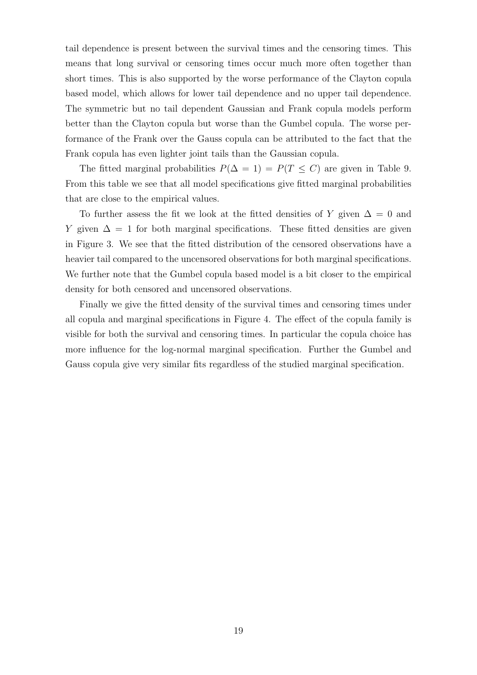tail dependence is present between the survival times and the censoring times. This means that long survival or censoring times occur much more often together than short times. This is also supported by the worse performance of the Clayton copula based model, which allows for lower tail dependence and no upper tail dependence. The symmetric but no tail dependent Gaussian and Frank copula models perform better than the Clayton copula but worse than the Gumbel copula. The worse performance of the Frank over the Gauss copula can be attributed to the fact that the Frank copula has even lighter joint tails than the Gaussian copula.

The fitted marginal probabilities  $P(\Delta = 1) = P(T \leq C)$  are given in Table 9. From this table we see that all model specifications give fitted marginal probabilities that are close to the empirical values.

To further assess the fit we look at the fitted densities of Y given  $\Delta = 0$  and Y given  $\Delta = 1$  for both marginal specifications. These fitted densities are given in Figure 3. We see that the fitted distribution of the censored observations have a heavier tail compared to the uncensored observations for both marginal specifications. We further note that the Gumbel copula based model is a bit closer to the empirical density for both censored and uncensored observations.

Finally we give the fitted density of the survival times and censoring times under all copula and marginal specifications in Figure 4. The effect of the copula family is visible for both the survival and censoring times. In particular the copula choice has more influence for the log-normal marginal specification. Further the Gumbel and Gauss copula give very similar fits regardless of the studied marginal specification.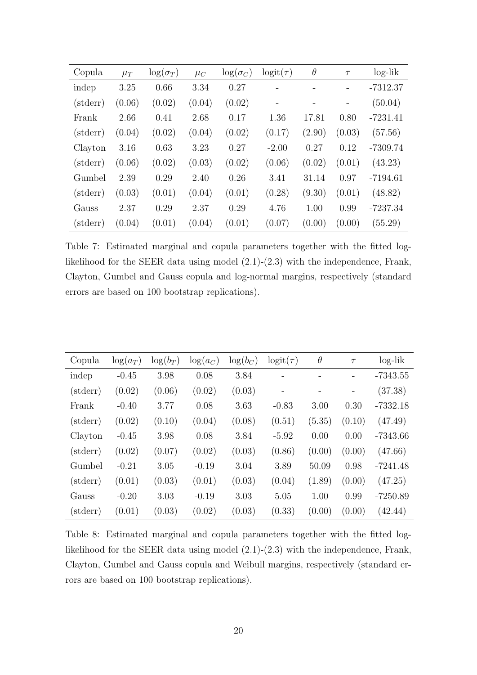| Copula            | $\mu_T$ | $\log(\sigma_T)$ | $\mu_C$ | $\log(\sigma_C)$ | $logit(\tau)$ | $\theta$ | $\tau$ | $log-lik$  |
|-------------------|---------|------------------|---------|------------------|---------------|----------|--------|------------|
| indep             | 3.25    | 0.66             | 3.34    | 0.27             |               |          |        | $-7312.37$ |
| $(\text{stderr})$ | (0.06)  | (0.02)           | (0.04)  | (0.02)           |               |          |        | (50.04)    |
| Frank             | 2.66    | 0.41             | 2.68    | 0.17             | 1.36          | 17.81    | 0.80   | $-7231.41$ |
| $(\text{stderr})$ | (0.04)  | (0.02)           | (0.04)  | (0.02)           | (0.17)        | (2.90)   | (0.03) | (57.56)    |
| Clayton           | 3.16    | 0.63             | 3.23    | 0.27             | $-2.00$       | 0.27     | 0.12   | $-7309.74$ |
| $(\text{stderr})$ | (0.06)  | (0.02)           | (0.03)  | (0.02)           | (0.06)        | (0.02)   | (0.01) | (43.23)    |
| Gumbel            | 2.39    | 0.29             | 2.40    | 0.26             | 3.41          | 31.14    | 0.97   | $-7194.61$ |
| $(\text{stderr})$ | (0.03)  | (0.01)           | (0.04)  | (0.01)           | (0.28)        | (9.30)   | (0.01) | (48.82)    |
| Gauss             | 2.37    | 0.29             | 2.37    | 0.29             | 4.76          | 1.00     | 0.99   | $-7237.34$ |
| $(\text{stderr})$ | (0.04)  | (0.01)           | (0.04)  | (0.01)           | (0.07)        | (0.00)   | (0.00) | (55.29)    |

Table 7: Estimated marginal and copula parameters together with the fitted loglikelihood for the SEER data using model (2.1)-(2.3) with the independence, Frank, Clayton, Gumbel and Gauss copula and log-normal margins, respectively (standard errors are based on 100 bootstrap replications).

| Copula   | $\log(a_T)$ | $\log(b_T)$ | $\log(a_C)$ | $\log(b_C)$ | $logit(\tau)$ | $\theta$ | $\tau$ | $log-lik$  |
|----------|-------------|-------------|-------------|-------------|---------------|----------|--------|------------|
| indep    | $-0.45$     | 3.98        | 0.08        | 3.84        |               |          |        | $-7343.55$ |
| (stderr) | (0.02)      | (0.06)      | (0.02)      | (0.03)      |               |          |        | (37.38)    |
| Frank    | $-0.40$     | 3.77        | 0.08        | 3.63        | $-0.83$       | 3.00     | 0.30   | $-7332.18$ |
| (stderr) | (0.02)      | (0.10)      | (0.04)      | (0.08)      | (0.51)        | (5.35)   | (0.10) | (47.49)    |
| Clayton  | $-0.45$     | 3.98        | 0.08        | 3.84        | $-5.92$       | 0.00     | 0.00   | $-7343.66$ |
| (stderr) | (0.02)      | (0.07)      | (0.02)      | (0.03)      | (0.86)        | (0.00)   | (0.00) | (47.66)    |
| Gumbel   | $-0.21$     | 3.05        | $-0.19$     | 3.04        | 3.89          | 50.09    | 0.98   | $-7241.48$ |
| (stderr) | (0.01)      | (0.03)      | (0.01)      | (0.03)      | (0.04)        | (1.89)   | (0.00) | (47.25)    |
| Gauss    | $-0.20$     | 3.03        | $-0.19$     | 3.03        | 5.05          | 1.00     | 0.99   | $-7250.89$ |
| (stderr) | (0.01)      | (0.03)      | (0.02)      | (0.03)      | (0.33)        | (0.00)   | (0.00) | (42.44)    |

Table 8: Estimated marginal and copula parameters together with the fitted loglikelihood for the SEER data using model (2.1)-(2.3) with the independence, Frank, Clayton, Gumbel and Gauss copula and Weibull margins, respectively (standard errors are based on 100 bootstrap replications).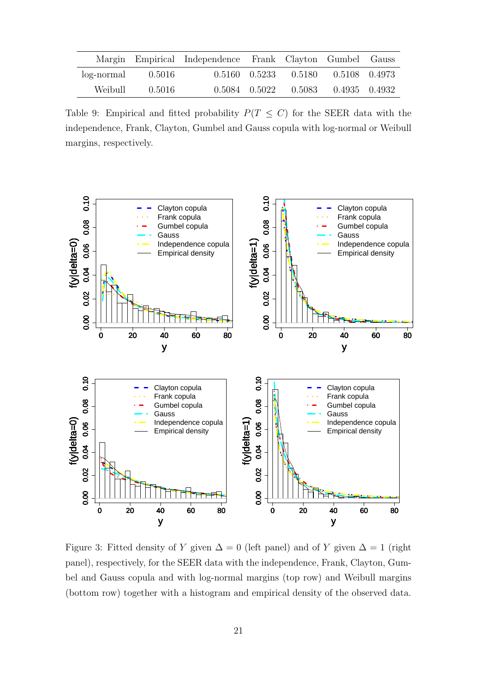|                     |        | Margin Empirical Independence Frank Clayton Gumbel Gauss |  |                                              |  |
|---------------------|--------|----------------------------------------------------------|--|----------------------------------------------|--|
| $log-normal$ 0.5016 |        |                                                          |  | $0.5160$ $0.5233$ $0.5180$ $0.5108$ $0.4973$ |  |
| Weibull             | 0.5016 |                                                          |  | $0.5084$ $0.5022$ $0.5083$ $0.4935$ $0.4932$ |  |

Table 9: Empirical and fitted probability  $P(T \leq C)$  for the SEER data with the independence, Frank, Clayton, Gumbel and Gauss copula with log-normal or Weibull margins, respectively.



Figure 3: Fitted density of Y given  $\Delta = 0$  (left panel) and of Y given  $\Delta = 1$  (right panel), respectively, for the SEER data with the independence, Frank, Clayton, Gumbel and Gauss copula and with log-normal margins (top row) and Weibull margins (bottom row) together with a histogram and empirical density of the observed data.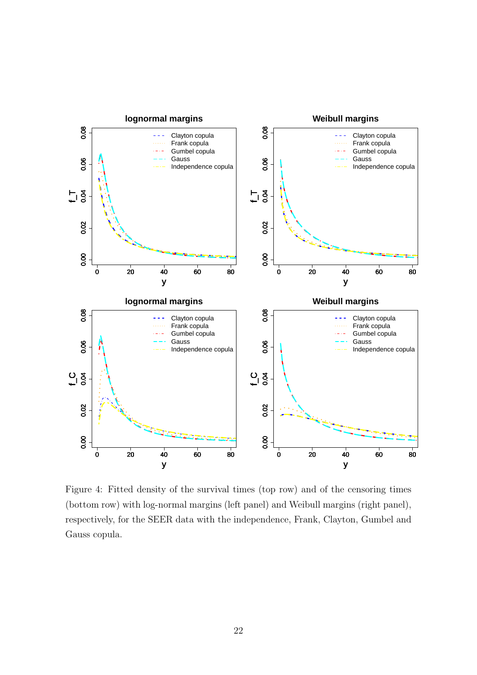

Figure 4: Fitted density of the survival times (top row) and of the censoring times (bottom row) with log-normal margins (left panel) and Weibull margins (right panel), respectively, for the SEER data with the independence, Frank, Clayton, Gumbel and Gauss copula.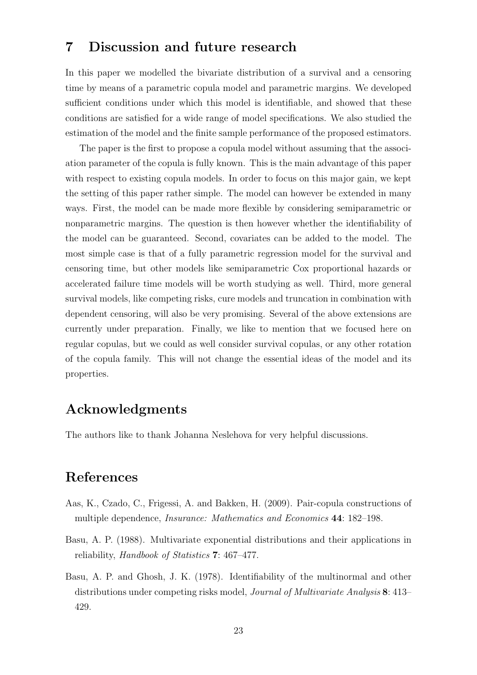#### 7 Discussion and future research

In this paper we modelled the bivariate distribution of a survival and a censoring time by means of a parametric copula model and parametric margins. We developed sufficient conditions under which this model is identifiable, and showed that these conditions are satisfied for a wide range of model specifications. We also studied the estimation of the model and the finite sample performance of the proposed estimators.

The paper is the first to propose a copula model without assuming that the association parameter of the copula is fully known. This is the main advantage of this paper with respect to existing copula models. In order to focus on this major gain, we kept the setting of this paper rather simple. The model can however be extended in many ways. First, the model can be made more flexible by considering semiparametric or nonparametric margins. The question is then however whether the identifiability of the model can be guaranteed. Second, covariates can be added to the model. The most simple case is that of a fully parametric regression model for the survival and censoring time, but other models like semiparametric Cox proportional hazards or accelerated failure time models will be worth studying as well. Third, more general survival models, like competing risks, cure models and truncation in combination with dependent censoring, will also be very promising. Several of the above extensions are currently under preparation. Finally, we like to mention that we focused here on regular copulas, but we could as well consider survival copulas, or any other rotation of the copula family. This will not change the essential ideas of the model and its properties.

## Acknowledgments

The authors like to thank Johanna Neslehova for very helpful discussions.

## References

- Aas, K., Czado, C., Frigessi, A. and Bakken, H. (2009). Pair-copula constructions of multiple dependence, Insurance: Mathematics and Economics 44: 182–198.
- Basu, A. P. (1988). Multivariate exponential distributions and their applications in reliability, Handbook of Statistics 7: 467–477.
- Basu, A. P. and Ghosh, J. K. (1978). Identifiability of the multinormal and other distributions under competing risks model, Journal of Multivariate Analysis 8: 413– 429.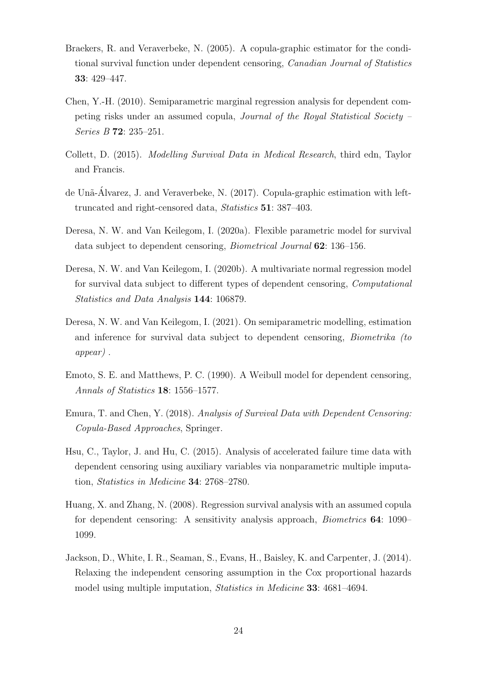- Braekers, R. and Veraverbeke, N. (2005). A copula-graphic estimator for the conditional survival function under dependent censoring, Canadian Journal of Statistics 33: 429–447.
- Chen, Y.-H. (2010). Semiparametric marginal regression analysis for dependent competing risks under an assumed copula, Journal of the Royal Statistical Society – Series B 72: 235–251.
- Collett, D. (2015). Modelling Survival Data in Medical Research, third edn, Taylor and Francis.
- de Unã-Álvarez, J. and Veraverbeke, N.  $(2017)$ . Copula-graphic estimation with lefttruncated and right-censored data, Statistics 51: 387–403.
- Deresa, N. W. and Van Keilegom, I. (2020a). Flexible parametric model for survival data subject to dependent censoring, Biometrical Journal 62: 136–156.
- Deresa, N. W. and Van Keilegom, I. (2020b). A multivariate normal regression model for survival data subject to different types of dependent censoring, Computational Statistics and Data Analysis 144: 106879.
- Deresa, N. W. and Van Keilegom, I. (2021). On semiparametric modelling, estimation and inference for survival data subject to dependent censoring, Biometrika (to appear) .
- Emoto, S. E. and Matthews, P. C. (1990). A Weibull model for dependent censoring, Annals of Statistics 18: 1556–1577.
- Emura, T. and Chen, Y. (2018). Analysis of Survival Data with Dependent Censoring: Copula-Based Approaches, Springer.
- Hsu, C., Taylor, J. and Hu, C. (2015). Analysis of accelerated failure time data with dependent censoring using auxiliary variables via nonparametric multiple imputation, Statistics in Medicine 34: 2768–2780.
- Huang, X. and Zhang, N. (2008). Regression survival analysis with an assumed copula for dependent censoring: A sensitivity analysis approach, Biometrics 64: 1090– 1099.
- Jackson, D., White, I. R., Seaman, S., Evans, H., Baisley, K. and Carpenter, J. (2014). Relaxing the independent censoring assumption in the Cox proportional hazards model using multiple imputation, Statistics in Medicine 33: 4681–4694.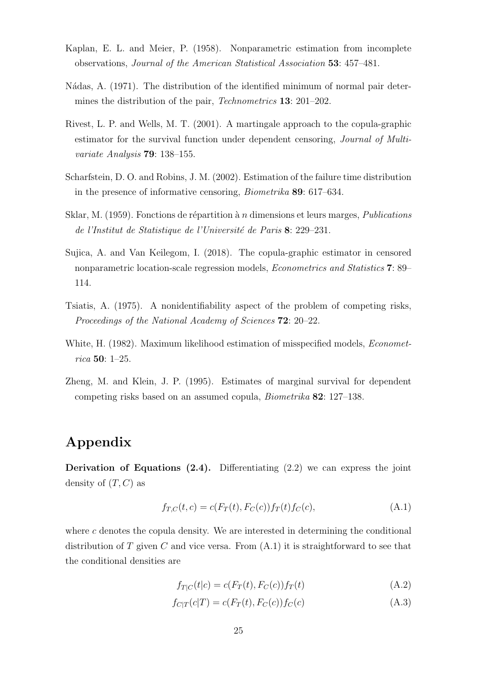- Kaplan, E. L. and Meier, P. (1958). Nonparametric estimation from incomplete observations, Journal of the American Statistical Association 53: 457–481.
- Nádas, A. (1971). The distribution of the identified minimum of normal pair determines the distribution of the pair, *Technometrics* **13**: 201–202.
- Rivest, L. P. and Wells, M. T. (2001). A martingale approach to the copula-graphic estimator for the survival function under dependent censoring, Journal of Multivariate Analysis 79: 138–155.
- Scharfstein, D. O. and Robins, J. M. (2002). Estimation of the failure time distribution in the presence of informative censoring, Biometrika 89: 617–634.
- Sklar, M. (1959). Fonctions de répartition à n dimensions et leurs marges, *Publications* de l'Institut de Statistique de l'Université de Paris 8: 229–231.
- Sujica, A. and Van Keilegom, I. (2018). The copula-graphic estimator in censored nonparametric location-scale regression models, Econometrics and Statistics 7: 89– 114.
- Tsiatis, A. (1975). A nonidentifiability aspect of the problem of competing risks, Proceedings of the National Academy of Sciences 72: 20–22.
- White, H. (1982). Maximum likelihood estimation of misspecified models, *Economet*rica 50: 1–25.
- Zheng, M. and Klein, J. P. (1995). Estimates of marginal survival for dependent competing risks based on an assumed copula, Biometrika 82: 127–138.

## Appendix

**Derivation of Equations (2.4).** Differentiating  $(2.2)$  we can express the joint density of  $(T, C)$  as

$$
f_{T,C}(t,c) = c(F_T(t), F_C(c)) f_T(t) f_C(c),
$$
\n(A.1)

where c denotes the copula density. We are interested in determining the conditional distribution of T given C and vice versa. From  $(A.1)$  it is straightforward to see that the conditional densities are

$$
f_{T|C}(t|c) = c(F_T(t), F_C(c))f_T(t)
$$
\n(A.2)

$$
f_{C|T}(c|T) = c(F_T(t), F_C(c))f_C(c)
$$
\n(A.3)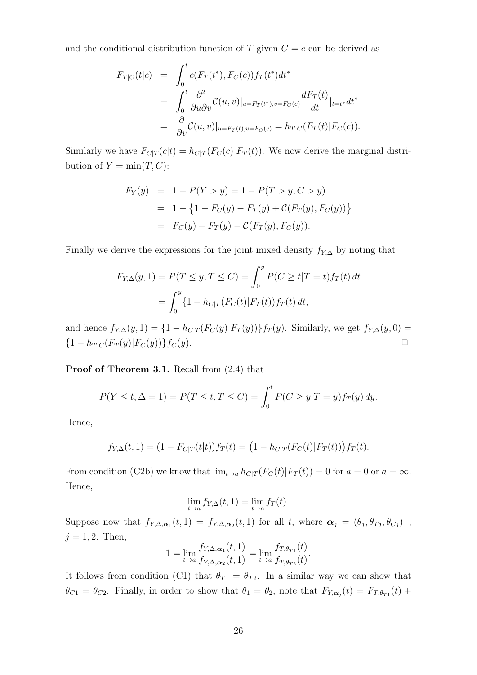and the conditional distribution function of T given  $C = c$  can be derived as

$$
F_{T|C}(t|c) = \int_0^t c(F_T(t^*), F_C(c)) f_T(t^*) dt^*
$$
  
\n
$$
= \int_0^t \frac{\partial^2}{\partial u \partial v} C(u, v)|_{u = F_T(t^*), v = F_C(c)} \frac{dF_T(t)}{dt}|_{t = t^*} dt^*
$$
  
\n
$$
= \frac{\partial}{\partial v} C(u, v)|_{u = F_T(t), v = F_C(c)} = h_{T|C}(F_T(t)|F_C(c)).
$$

Similarly we have  $F_{C|T}(c|t) = h_{C|T}(F_C(c)|F_T(t))$ . We now derive the marginal distribution of  $Y = \min(T, C)$ :

$$
F_Y(y) = 1 - P(Y > y) = 1 - P(T > y, C > y)
$$
  
= 1 - {1 - F<sub>C</sub>(y) - F<sub>T</sub>(y) + C(F<sub>T</sub>(y), F<sub>C</sub>(y))}  
= F<sub>C</sub>(y) + F<sub>T</sub>(y) - C(F<sub>T</sub>(y), F<sub>C</sub>(y)).

Finally we derive the expressions for the joint mixed density  $f_{Y,\Delta}$  by noting that

$$
F_{Y,\Delta}(y,1) = P(T \le y, T \le C) = \int_0^y P(C \ge t | T = t) f_T(t) dt
$$
  
= 
$$
\int_0^y \{1 - h_{C|T}(F_C(t)|F_T(t)) f_T(t) dt,
$$

and hence  $f_{Y,\Delta}(y,1) = \{1 - h_{C|T}(F_C(y)|F_T(y))\}f_T(y)$ . Similarly, we get  $f_{Y,\Delta}(y,0) =$  $\{1 - h_{T|C}(F_T(y)|F_C(y))\}f_C(y).$ 

Proof of Theorem 3.1. Recall from  $(2.4)$  that

$$
P(Y \le t, \Delta = 1) = P(T \le t, T \le C) = \int_0^t P(C \ge y | T = y) f_T(y) \, dy.
$$

Hence,

$$
f_{Y,\Delta}(t,1) = (1 - F_{C|T}(t|t))f_T(t) = (1 - h_{C|T}(F_C(t)|F_T(t)))f_T(t).
$$

From condition (C2b) we know that  $\lim_{t\to a} h_{C|T}(F_C(t)|F_T(t)) = 0$  for  $a = 0$  or  $a = \infty$ . Hence,

$$
\lim_{t \to a} f_{Y,\Delta}(t,1) = \lim_{t \to a} f_T(t).
$$

Suppose now that  $f_{Y,\Delta,\alpha_1}(t,1) = f_{Y,\Delta,\alpha_2}(t,1)$  for all t, where  $\alpha_j = (\theta_j, \theta_{Tj}, \theta_{Cj})^\top$ ,  $j = 1, 2$ . Then,

$$
1 = \lim_{t \to a} \frac{f_{Y,\Delta,\alpha_1}(t,1)}{f_{Y,\Delta,\alpha_2}(t,1)} = \lim_{t \to a} \frac{f_{T,\theta_{T1}}(t)}{f_{T,\theta_{T2}}(t)}.
$$

It follows from condition (C1) that  $\theta_{T1} = \theta_{T2}$ . In a similar way we can show that  $\theta_{C1} = \theta_{C2}$ . Finally, in order to show that  $\theta_1 = \theta_2$ , note that  $F_{Y,\alpha_j}(t) = F_{T,\theta_{T1}}(t) +$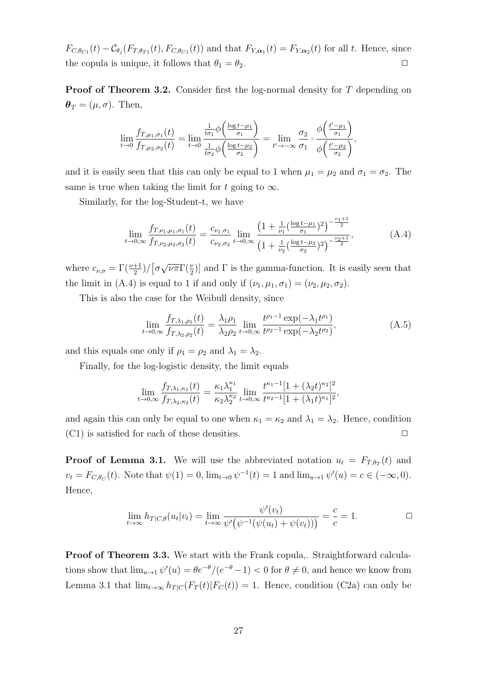$F_{C,\theta_{C1}}(t) - \mathcal{C}_{\theta_j}(F_{T,\theta_{T1}}(t), F_{C,\theta_{C1}}(t))$  and that  $F_{Y,\alpha_1}(t) = F_{Y,\alpha_2}(t)$  for all t. Hence, since the copula is unique, it follows that  $\theta_1 = \theta_2$ .

**Proof of Theorem 3.2.** Consider first the log-normal density for T depending on  $\boldsymbol{\theta}_T = (\mu, \sigma)$ . Then,

$$
\lim_{t \to 0} \frac{f_{T,\mu_1,\sigma_1}(t)}{f_{T,\mu_2,\sigma_2}(t)} = \lim_{t \to 0} \frac{\frac{1}{t\sigma_1}\phi\left(\frac{\log t - \mu_1}{\sigma_1}\right)}{\frac{1}{t\sigma_2}\phi\left(\frac{\log t - \mu_2}{\sigma_2}\right)} = \lim_{t' \to -\infty} \frac{\sigma_2}{\sigma_1} \cdot \frac{\phi\left(\frac{t' - \mu_1}{\sigma_1}\right)}{\phi\left(\frac{t' - \mu_2}{\sigma_2}\right)},
$$

and it is easily seen that this can only be equal to 1 when  $\mu_1 = \mu_2$  and  $\sigma_1 = \sigma_2$ . The same is true when taking the limit for t going to  $\infty$ .

Similarly, for the log-Student-t, we have

$$
\lim_{t \to 0, \infty} \frac{f_{T, \nu_1, \mu_1, \sigma_1}(t)}{f_{T, \nu_2, \mu_2, \sigma_2}(t)} = \frac{c_{\nu_1, \sigma_1}}{c_{\nu_2, \sigma_2}} \lim_{t \to 0, \infty} \frac{\left(1 + \frac{1}{\nu_1} \left(\frac{\log t - \mu_1}{\sigma_1}\right)^2\right)^{-\frac{\nu_1 + 1}{2}}}{\left(1 + \frac{1}{\nu_2} \left(\frac{\log t - \mu_2}{\sigma_2}\right)^2\right)^{-\frac{\nu_2 + 1}{2}}},\tag{A.4}
$$

where  $c_{\nu,\sigma} = \Gamma(\frac{\nu+1}{2})/[\sigma$  $\sqrt{\nu \pi} \Gamma(\frac{\nu}{2})$ ] and  $\Gamma$  is the gamma-function. It is easily seen that the limit in (A.4) is equal to 1 if and only if  $(\nu_1, \mu_1, \sigma_1) = (\nu_2, \mu_2, \sigma_2)$ .

This is also the case for the Weibull density, since

$$
\lim_{t \to 0, \infty} \frac{f_{T, \lambda_1, \rho_1}(t)}{f_{T, \lambda_2, \rho_2}(t)} = \frac{\lambda_1 \rho_1}{\lambda_2 \rho_2} \lim_{t \to 0, \infty} \frac{t^{\rho_1 - 1} \exp(-\lambda_1 t^{\rho_1})}{t^{\rho_2 - 1} \exp(-\lambda_2 t^{\rho_2})},
$$
\n(A.5)

and this equals one only if  $\rho_1 = \rho_2$  and  $\lambda_1 = \lambda_2$ .

Finally, for the log-logistic density, the limit equals

$$
\lim_{t \to 0,\infty} \frac{f_{T,\lambda_1,\kappa_1}(t)}{f_{T,\lambda_2,\kappa_2}(t)} = \frac{\kappa_1 \lambda_1^{\kappa_1}}{\kappa_2 \lambda_2^{\kappa_2}} \lim_{t \to 0,\infty} \frac{t^{\kappa_1-1} [1 + (\lambda_2 t)^{\kappa_2}]^2}{t^{\kappa_2-1} [1 + (\lambda_1 t)^{\kappa_1}]^2},
$$

and again this can only be equal to one when  $\kappa_1 = \kappa_2$  and  $\lambda_1 = \lambda_2$ . Hence, condition  $(C1)$  is satisfied for each of these densities.  $\square$ 

**Proof of Lemma 3.1.** We will use the abbreviated notation  $u_t = F_{T,\theta_T}(t)$  and  $v_t = F_{C,\theta_C}(t)$ . Note that  $\psi(1) = 0$ ,  $\lim_{t \to 0} \psi^{-1}(t) = 1$  and  $\lim_{u \to 1} \psi'(u) = c \in (-\infty, 0)$ . Hence,

$$
\lim_{t \to \infty} h_{T|C,\theta}(u_t|v_t) = \lim_{t \to \infty} \frac{\psi'(v_t)}{\psi'(\psi^{-1}(\psi(u_t) + \psi(v_t)))} = \frac{c}{c} = 1.
$$

Proof of Theorem 3.3. We start with the Frank copula,. Straightforward calculations show that  $\lim_{u\to 1}\psi'(u)=\theta e^{-\theta}/(e^{-\theta}-1)<0$  for  $\theta\neq 0$ , and hence we know from Lemma 3.1 that  $\lim_{t\to\infty} h_{T|C}(F_T(t)|F_C(t)) = 1$ . Hence, condition (C2a) can only be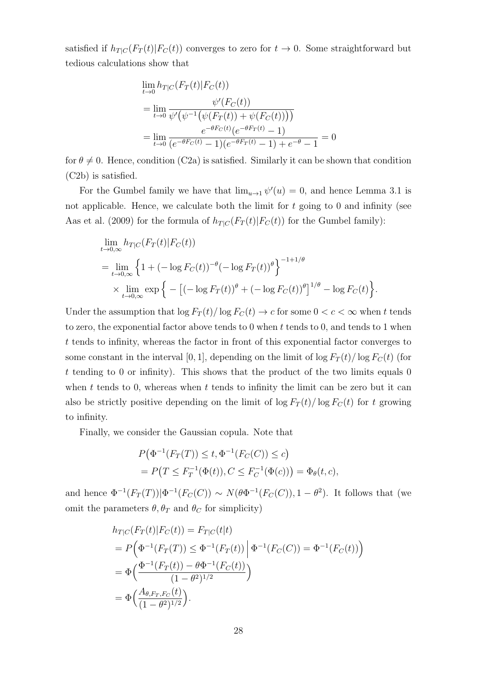satisfied if  $h_{T|C}(F_T(t)|F_C(t))$  converges to zero for  $t \to 0$ . Some straightforward but tedious calculations show that

$$
\lim_{t \to 0} h_{T|C}(F_T(t)|F_C(t))
$$
\n
$$
= \lim_{t \to 0} \frac{\psi'(F_C(t))}{\psi'(\psi^{-1}(\psi(F_T(t)) + \psi(F_C(t))))}
$$
\n
$$
= \lim_{t \to 0} \frac{e^{-\theta F_C(t)}(e^{-\theta F_T(t)} - 1)}{(e^{-\theta F_C(t)} - 1)(e^{-\theta F_T(t)} - 1) + e^{-\theta} - 1} = 0
$$

for  $\theta \neq 0$ . Hence, condition (C2a) is satisfied. Similarly it can be shown that condition (C2b) is satisfied.

For the Gumbel family we have that  $\lim_{u\to 1} \psi'(u) = 0$ , and hence Lemma 3.1 is not applicable. Hence, we calculate both the limit for  $t$  going to 0 and infinity (see Aas et al. (2009) for the formula of  $h_{T|C}(F_T(t)|F_C(t))$  for the Gumbel family):

$$
\lim_{t \to 0,\infty} h_{T|C}(F_T(t)|F_C(t))
$$
\n
$$
= \lim_{t \to 0,\infty} \left\{ 1 + (-\log F_C(t))^{-\theta} (-\log F_T(t))^{\theta} \right\}^{-1+1/\theta}
$$
\n
$$
\times \lim_{t \to 0,\infty} \exp \left\{ - \left[ (-\log F_T(t))^{\theta} + (-\log F_C(t))^{\theta} \right]^{1/\theta} - \log F_C(t) \right\}.
$$

Under the assumption that  $\log F_T(t)/\log F_C(t) \to c$  for some  $0 < c < \infty$  when t tends to zero, the exponential factor above tends to  $0$  when  $t$  tends to  $0$ , and tends to  $1$  when t tends to infinity, whereas the factor in front of this exponential factor converges to some constant in the interval [0, 1], depending on the limit of  $\log F_T(t)/\log F_C(t)$  (for  $t$  tending to 0 or infinity). This shows that the product of the two limits equals 0 when  $t$  tends to 0, whereas when  $t$  tends to infinity the limit can be zero but it can also be strictly positive depending on the limit of  $\log F_T(t)/\log F_C(t)$  for t growing to infinity.

Finally, we consider the Gaussian copula. Note that

$$
P(\Phi^{-1}(F_T(T)) \le t, \Phi^{-1}(F_C(C)) \le c)
$$
  
=  $P(T \le F_T^{-1}(\Phi(t)), C \le F_C^{-1}(\Phi(c))) = \Phi_{\theta}(t, c),$ 

and hence  $\Phi^{-1}(F_T(T))|\Phi^{-1}(F_C(C)) \sim N(\theta \Phi^{-1}(F_C(C)), 1-\theta^2)$ . It follows that (we omit the parameters  $\theta$ ,  $\theta_T$  and  $\theta_C$  for simplicity)

$$
h_{T|C}(F_T(t)|F_C(t)) = F_{T|C}(t|t)
$$
  
=  $P(\Phi^{-1}(F_T(T)) \leq \Phi^{-1}(F_T(t)) | \Phi^{-1}(F_C(C)) = \Phi^{-1}(F_C(t))$   
=  $\Phi(\frac{\Phi^{-1}(F_T(t)) - \theta \Phi^{-1}(F_C(t))}{(1 - \theta^2)^{1/2}})$   
=  $\Phi(\frac{A_{\theta, F_T, F_C}(t)}{(1 - \theta^2)^{1/2}}).$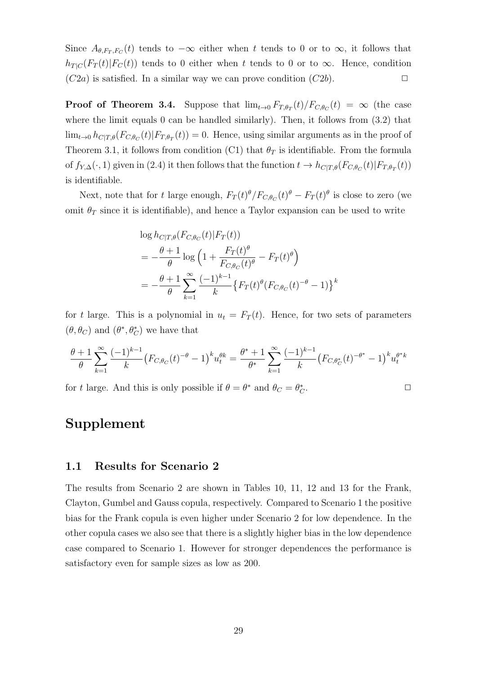Since  $A_{\theta,F_T,F_C}(t)$  tends to  $-\infty$  either when t tends to 0 or to  $\infty$ , it follows that  $h_{T|C}(F_T(t)|F_C(t))$  tends to 0 either when t tends to 0 or to  $\infty$ . Hence, condition  $(C2a)$  is satisfied. In a similar way we can prove condition  $(C2b)$ .

**Proof of Theorem 3.4.** Suppose that  $\lim_{t\to 0} F_{T,\theta_T}(t)/F_{C,\theta_C}(t) = \infty$  (the case where the limit equals 0 can be handled similarly). Then, it follows from  $(3.2)$  that  $\lim_{t\to 0} h_{C|T,\theta}(F_{C,\theta_C}(t)|F_{T,\theta_T}(t)) = 0.$  Hence, using similar arguments as in the proof of Theorem 3.1, it follows from condition (C1) that  $\theta_T$  is identifiable. From the formula of  $f_{Y,\Delta}(\cdot,1)$  given in (2.4) it then follows that the function  $t \to h_{C|T,\theta}(F_{C,\theta_C}(t)|F_{T,\theta_T}(t))$ is identifiable.

Next, note that for t large enough,  $F_T(t)^{\theta}/F_{C,\theta_C}(t)^{\theta} - F_T(t)^{\theta}$  is close to zero (we omit  $\theta_T$  since it is identifiable), and hence a Taylor expansion can be used to write

$$
\log h_{C|T,\theta}(F_{C,\theta_C}(t)|F_T(t))
$$
\n
$$
= -\frac{\theta + 1}{\theta} \log \left(1 + \frac{F_T(t)^{\theta}}{F_{C,\theta_C}(t)^{\theta}} - F_T(t)^{\theta}\right)
$$
\n
$$
= -\frac{\theta + 1}{\theta} \sum_{k=1}^{\infty} \frac{(-1)^{k-1}}{k} \{F_T(t)^{\theta}(F_{C,\theta_C}(t)^{-\theta} - 1)\}^k
$$

for t large. This is a polynomial in  $u_t = F_T(t)$ . Hence, for two sets of parameters  $(\theta, \theta_C)$  and  $(\theta^*, \theta^*_C)$  we have that

$$
\frac{\theta+1}{\theta} \sum_{k=1}^{\infty} \frac{(-1)^{k-1}}{k} \left( F_{C,\theta_C}(t)^{-\theta} - 1 \right)^k u_t^{\theta k} = \frac{\theta^*+1}{\theta^*} \sum_{k=1}^{\infty} \frac{(-1)^{k-1}}{k} \left( F_{C,\theta_C^*}(t)^{-\theta^*} - 1 \right)^k u_t^{\theta^* k}
$$

for t large. And this is only possible if  $\theta = \theta^*$  and  $\theta_C = \theta_C^*$ .  $\Box$ 

#### Supplement

#### 1.1 Results for Scenario 2

The results from Scenario 2 are shown in Tables 10, 11, 12 and 13 for the Frank, Clayton, Gumbel and Gauss copula, respectively. Compared to Scenario 1 the positive bias for the Frank copula is even higher under Scenario 2 for low dependence. In the other copula cases we also see that there is a slightly higher bias in the low dependence case compared to Scenario 1. However for stronger dependences the performance is satisfactory even for sample sizes as low as 200.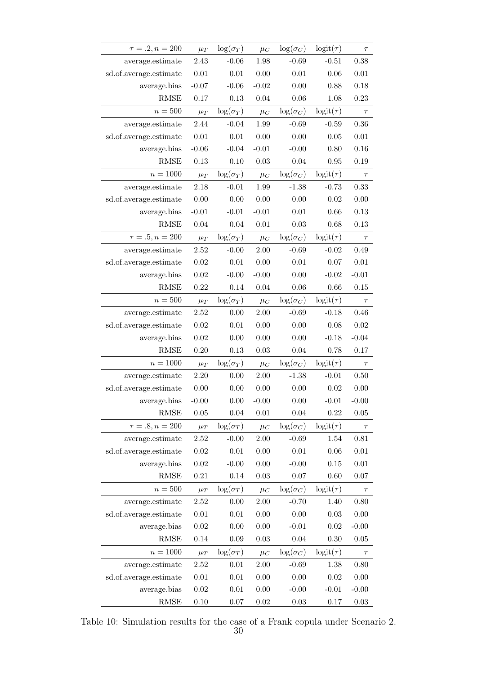| $\tau=.2, n = 200$     | $\mu_T$  | $\log(\sigma_T)$ | $\mu_C$  | $\log(\sigma_C)$ | $logit(\tau)$ | $\tau$   |
|------------------------|----------|------------------|----------|------------------|---------------|----------|
| average.estimate       | 2.43     | $-0.06$          | 1.98     | $-0.69$          | $-0.51$       | 0.38     |
| sd.of.average.estimate | 0.01     | 0.01             | 0.00     | $0.01\,$         | 0.06          | $0.01\,$ |
| average.bias           | $-0.07$  | $-0.06$          | $-0.02$  | 0.00             | 0.88          | 0.18     |
| <b>RMSE</b>            | 0.17     | $0.13\,$         | 0.04     | 0.06             | 1.08          | 0.23     |
| $n=500$                | $\mu_T$  | $\log(\sigma_T)$ | $\mu_C$  | $\log(\sigma_C)$ | $logit(\tau)$ | $\tau$   |
| average.estimate       | 2.44     | $-0.04$          | 1.99     | $-0.69$          | $-0.59$       | 0.36     |
| sd.of.average.estimate | $0.01\,$ | $0.01\,$         | 0.00     | 0.00             | 0.05          | $0.01\,$ |
| average.bias           | $-0.06$  | $-0.04$          | $-0.01$  | $-0.00$          | 0.80          | 0.16     |
| <b>RMSE</b>            | 0.13     | 0.10             | 0.03     | 0.04             | 0.95          | 0.19     |
| $n = 1000$             | $\mu_T$  | $\log(\sigma_T)$ | $\mu_C$  | $\log(\sigma_C)$ | $logit(\tau)$ | $\tau$   |
| average.estimate       | 2.18     | $-0.01$          | 1.99     | $-1.38$          | $-0.73$       | 0.33     |
| sd.of.average.estimate | 0.00     | 0.00             | 0.00     | 0.00             | 0.02          | 0.00     |
| average.bias           | $-0.01$  | $-0.01$          | $-0.01$  | $0.01\,$         | 0.66          | 0.13     |
| <b>RMSE</b>            | 0.04     | 0.04             | 0.01     | 0.03             | 0.68          | 0.13     |
| $\tau = .5, n = 200$   | $\mu_T$  | $\log(\sigma_T)$ | $\mu_C$  | $\log(\sigma_C)$ | $logit(\tau)$ | $\tau$   |
| average.estimate       | 2.52     | $-0.00$          | 2.00     | $-0.69$          | $-0.02$       | 0.49     |
| sd.of.average.estimate | 0.02     | 0.01             | 0.00     | $0.01\,$         | 0.07          | 0.01     |
| average.bias           | 0.02     | $-0.00$          | $-0.00$  | 0.00             | $-0.02$       | $-0.01$  |
| <b>RMSE</b>            | 0.22     | 0.14             | 0.04     | 0.06             | 0.66          | 0.15     |
| $n=500$                | $\mu_T$  | $\log(\sigma_T)$ | $\mu_C$  | $\log(\sigma_C)$ | $logit(\tau)$ | $\tau$   |
| average.estimate       | 2.52     | 0.00             | 2.00     | $-0.69$          | $-0.18$       | 0.46     |
| sd.of.average.estimate | 0.02     | 0.01             | 0.00     | 0.00             | 0.08          | 0.02     |
| average.bias           | 0.02     | 0.00             | 0.00     | 0.00             | $-0.18$       | $-0.04$  |
| <b>RMSE</b>            | 0.20     | 0.13             | 0.03     | 0.04             | 0.78          | 0.17     |
| $n = 1000$             | $\mu_T$  | $\log(\sigma_T)$ | $\mu_C$  | $\log(\sigma_C)$ | $logit(\tau)$ | $\tau$   |
| average.estimate       | 2.20     | 0.00             | $2.00\,$ | $-1.38$          | $-0.01$       | 0.50     |
| sd.of.average.estimate | 0.00     | 0.00             | 0.00     | 0.00             | 0.02          | 0.00     |
| average.bias           | $-0.00$  | 0.00             | $-0.00$  | 0.00             | $-0.01$       | $-0.00$  |
| <b>RMSE</b>            | 0.05     | 0.04             | 0.01     | 0.04             | 0.22          | 0.05     |
| $\tau = .8, n = 200$   | $\mu_T$  | $\log(\sigma_T)$ | $\mu_C$  | $\log(\sigma_C)$ | $logit(\tau)$ | $\tau$   |
| average.estimate       | 2.52     | $-0.00$          | 2.00     | $-0.69$          | 1.54          | 0.81     |
| sd.of.average.estimate | 0.02     | 0.01             | 0.00     | $0.01\,$         | $0.06\,$      | 0.01     |
| average.bias           | 0.02     | $-0.00$          | $0.00\,$ | $-0.00$          | 0.15          | $0.01\,$ |
| <b>RMSE</b>            | 0.21     | 0.14             | 0.03     | 0.07             | 0.60          | 0.07     |
| $n=500$                | $\mu_T$  | $\log(\sigma_T)$ | $\mu_C$  | $\log(\sigma_C)$ | $logit(\tau)$ | $\tau$   |
| average.estimate       | 2.52     | 0.00             | $2.00\,$ | $-0.70$          | 1.40          | 0.80     |
| sd.of.average.estimate | $0.01\,$ | $0.01\,$         | 0.00     | 0.00             | 0.03          | $0.00\,$ |
| average.bias           | 0.02     | 0.00             | 0.00     | $-0.01$          | 0.02          | $-0.00$  |
| <b>RMSE</b>            | 0.14     | $0.09\,$         | $0.03\,$ | $0.04\,$         | 0.30          | $0.05\,$ |
| $n = 1000$             | $\mu_T$  | $\log(\sigma_T)$ | $\mu_C$  | $\log(\sigma_C)$ | $logit(\tau)$ | $\tau$   |
| average.estimate       | 2.52     | $0.01\,$         | $2.00\,$ | $-0.69$          | 1.38          | 0.80     |
| sd.of.average.estimate | 0.01     | $0.01\,$         | 0.00     | 0.00             | 0.02          | $0.00\,$ |
| average.bias           | 0.02     | $0.01\,$         | 0.00     | $-0.00$          | $-0.01$       | $-0.00$  |
| RMSE                   | 0.10     | 0.07             | $0.02\,$ | $0.03\,$         | 0.17          | 0.03     |

Table 10: Simulation results for the case of a Frank copula under Scenario 2.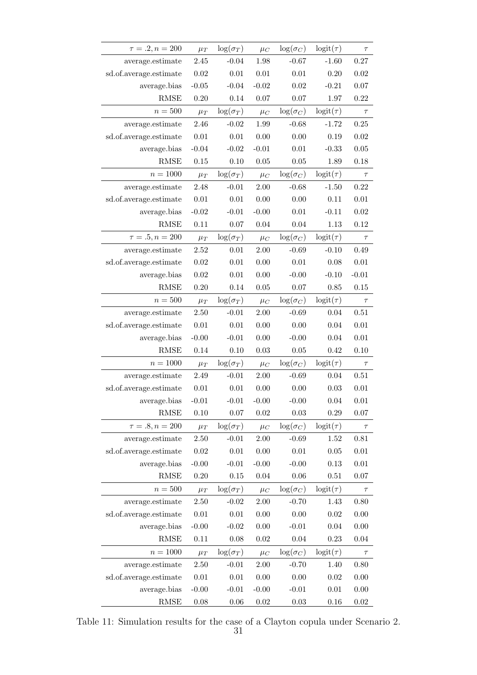| $\tau = .2, n = 200$   | $\mu_T$  | $\log(\sigma_T)$ | $\mu_C$  | $\log(\sigma_C)$ | $logit(\tau)$ | $\tau$   |
|------------------------|----------|------------------|----------|------------------|---------------|----------|
| average.estimate       | 2.45     | $-0.04$          | 1.98     | $-0.67$          | $-1.60$       | 0.27     |
| sd.of.average.estimate | 0.02     | 0.01             | 0.01     | $0.01\,$         | 0.20          | 0.02     |
| average.bias           | $-0.05$  | $-0.04$          | $-0.02$  | 0.02             | $-0.21$       | 0.07     |
| <b>RMSE</b>            | 0.20     | 0.14             | 0.07     | 0.07             | 1.97          | 0.22     |
| $n=500\,$              | $\mu_T$  | $\log(\sigma_T)$ | $\mu_C$  | $\log(\sigma_C)$ | $logit(\tau)$ | $\tau$   |
| average.estimate       | 2.46     | $-0.02$          | 1.99     | $-0.68$          | $-1.72$       | 0.25     |
| sd.of.average.estimate | $0.01\,$ | $0.01\,$         | 0.00     | 0.00             | 0.19          | 0.02     |
| average.bias           | $-0.04$  | $-0.02$          | $-0.01$  | $0.01\,$         | $-0.33$       | 0.05     |
| <b>RMSE</b>            | 0.15     | 0.10             | $0.05\,$ | 0.05             | 1.89          | 0.18     |
| $n = 1000$             | $\mu_T$  | $\log(\sigma_T)$ | $\mu_C$  | $\log(\sigma_C)$ | $logit(\tau)$ | $\tau$   |
| average.estimate       | 2.48     | $-0.01$          | 2.00     | $-0.68$          | $-1.50$       | 0.22     |
| sd.of.average.estimate | $0.01\,$ | 0.01             | 0.00     | 0.00             | 0.11          | 0.01     |
| average.bias           | $-0.02$  | $-0.01$          | $-0.00$  | $0.01\,$         | $-0.11$       | 0.02     |
| <b>RMSE</b>            | 0.11     | $0.07\,$         | 0.04     | 0.04             | 1.13          | 0.12     |
| $\tau=.5, n = 200$     | $\mu_T$  | $\log(\sigma_T)$ | $\mu_C$  | $\log(\sigma_C)$ | $logit(\tau)$ | $\tau$   |
| average.estimate       | 2.52     | $0.01\,$         | 2.00     | $-0.69$          | $-0.10$       | 0.49     |
| sd.of.average.estimate | $0.02\,$ | $0.01\,$         | 0.00     | $0.01\,$         | 0.08          | $0.01\,$ |
| average.bias           | 0.02     | $0.01\,$         | 0.00     | $-0.00$          | $-0.10$       | $-0.01$  |
| <b>RMSE</b>            | 0.20     | 0.14             | 0.05     | 0.07             | 0.85          | 0.15     |
| $n=500$                | $\mu_T$  | $\log(\sigma_T)$ | $\mu_C$  | $\log(\sigma_C)$ | $logit(\tau)$ | $\tau$   |
| average.estimate       | 2.50     | $-0.01$          | 2.00     | $-0.69$          | 0.04          | 0.51     |
| sd.of.average.estimate | $0.01\,$ | 0.01             | 0.00     | 0.00             | 0.04          | $0.01\,$ |
| average.bias           | $-0.00$  | $-0.01$          | 0.00     | $-0.00$          | 0.04          | $0.01\,$ |
| <b>RMSE</b>            | 0.14     | 0.10             | 0.03     | 0.05             | 0.42          | 0.10     |
| $n = 1000$             | $\mu_T$  | $\log(\sigma_T)$ | $\mu_C$  | $\log(\sigma_C)$ | $logit(\tau)$ | $\tau$   |
| average.estimate       | 2.49     | $-0.01$          | 2.00     | $-0.69$          | 0.04          | $0.51\,$ |
| sd.of.average.estimate | 0.01     | $0.01\,$         | 0.00     | 0.00             | 0.03          | $0.01\,$ |
| average.bias           | $-0.01$  | $-0.01$          | $-0.00$  | $-0.00$          | 0.04          | 0.01     |
| <b>RMSE</b>            | 0.10     | $0.07\,$         | 0.02     | 0.03             | 0.29          | 0.07     |
| $\tau = .8, n = 200$   | $\mu_T$  | $\log(\sigma_T)$ | $\mu_C$  | $\log(\sigma_C)$ | $logit(\tau)$ | $\tau$   |
| average.estimate       | 2.50     | $-0.01$          | 2.00     | $-0.69$          | 1.52          | 0.81     |
| sd.of.average.estimate | 0.02     | $0.01\,$         | 0.00     | $0.01\,$         | 0.05          | 0.01     |
| average.bias           | $-0.00$  | $-0.01$          | $-0.00$  | $-0.00$          | 0.13          | $0.01\,$ |
| <b>RMSE</b>            | 0.20     | 0.15             | $0.04\,$ | 0.06             | 0.51          | 0.07     |
| $n = 500$              | $\mu_T$  | $\log(\sigma_T)$ | $\mu_C$  | $\log(\sigma_C)$ | $logit(\tau)$ | $\tau$   |
| average.estimate       | 2.50     | $-0.02$          | 2.00     | $-0.70$          | 1.43          | 0.80     |
| sd.of.average.estimate | $0.01\,$ | $0.01\,$         | 0.00     | 0.00             | 0.02          | $0.00\,$ |
| average.bias           | $-0.00$  | $-0.02$          | 0.00     | $-0.01$          | 0.04          | $0.00\,$ |
| <b>RMSE</b>            | 0.11     | $0.08\,$         | 0.02     | $0.04\,$         | 0.23          | 0.04     |
| $n = 1000$             | $\mu_T$  | $\log(\sigma_T)$ | $\mu_C$  | $\log(\sigma_C)$ | $logit(\tau)$ | $\tau$   |
| average.estimate       | $2.50\,$ | $-0.01$          | $2.00\,$ | $-0.70$          | 1.40          | 0.80     |
| sd.of.average.estimate | $0.01\,$ | $0.01\,$         | 0.00     | $0.00\,$         | 0.02          | $0.00\,$ |
| average.bias           | $-0.00$  | $-0.01$          | $-0.00$  | $-0.01$          | 0.01          | $0.00\,$ |
| RMSE                   | 0.08     | 0.06             | $0.02\,$ | 0.03             | 0.16          | 0.02     |

Table 11: Simulation results for the case of a Clayton copula under Scenario 2.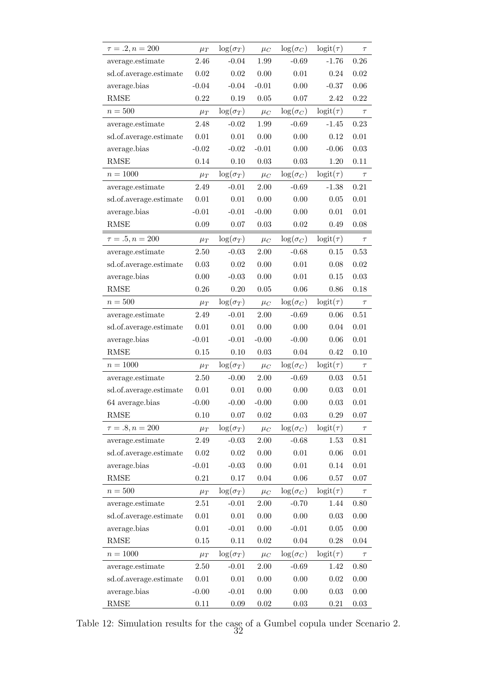| $\tau=.2, n = 200$     | $\mu_T$  | $\log(\sigma_T)$ | $\mu_C$  | $\log(\sigma_C)$ | $logit(\tau)$ | $\tau$     |
|------------------------|----------|------------------|----------|------------------|---------------|------------|
| average.estimate       | 2.46     | $-0.04$          | 1.99     | $-0.69$          | $-1.76$       | 0.26       |
| sd.of.average.estimate | 0.02     | 0.02             | 0.00     | $0.01\,$         | 0.24          | 0.02       |
| average.bias           | $-0.04$  | $-0.04$          | $-0.01$  | 0.00             | $-0.37$       | 0.06       |
| <b>RMSE</b>            | $0.22\,$ | 0.19             | 0.05     | 0.07             | 2.42          | 0.22       |
| $n=500$                | $\mu_T$  | $\log(\sigma_T)$ | $\mu_C$  | $\log(\sigma_C)$ | $logit(\tau)$ | $\tau$     |
| average.estimate       | 2.48     | $-0.02$          | 1.99     | $-0.69$          | $-1.45$       | 0.23       |
| sd.of.average.estimate | 0.01     | $0.01\,$         | 0.00     | 0.00             | 0.12          | $0.01\,$   |
| average.bias           | $-0.02$  | $-0.02$          | $-0.01$  | 0.00             | $-0.06$       | 0.03       |
| RMSE                   | 0.14     | 0.10             | 0.03     | 0.03             | 1.20          | $0.11\,$   |
| $n = 1000$             | $\mu_T$  | $\log(\sigma_T)$ | $\mu_C$  | $\log(\sigma_C)$ | $logit(\tau)$ | $\tau$     |
| average.estimate       | 2.49     | $-0.01$          | 2.00     | $-0.69$          | $-1.38$       | 0.21       |
| sd.of.average.estimate | 0.01     | $0.01\,$         | 0.00     | 0.00             | 0.05          | $0.01\,$   |
| average.bias           | $-0.01$  | $-0.01$          | $-0.00$  | 0.00             | 0.01          | 0.01       |
| <b>RMSE</b>            | 0.09     | 0.07             | 0.03     | 0.02             | 0.49          | 0.08       |
| $\tau = .5, n = 200$   | $\mu_T$  | $\log(\sigma_T)$ | $\mu_C$  | $\log(\sigma_C)$ | $logit(\tau)$ | $\tau$     |
| average.estimate       | $2.50\,$ | $-0.03$          | 2.00     | $-0.68$          | $0.15\,$      | 0.53       |
| sd.of.average.estimate | 0.03     | 0.02             | 0.00     | 0.01             | 0.08          | 0.02       |
| average.bias           | 0.00     | $-0.03$          | 0.00     | $0.01\,$         | 0.15          | 0.03       |
| <b>RMSE</b>            | 0.26     | 0.20             | 0.05     | 0.06             | 0.86          | 0.18       |
| $n=500$                | $\mu_T$  | $\log(\sigma_T)$ | $\mu_C$  | $\log(\sigma_C)$ | $logit(\tau)$ | $\tau$     |
| average.estimate       | 2.49     | $-0.01$          | 2.00     | $-0.69$          | 0.06          | 0.51       |
| sd.of.average.estimate | 0.01     | 0.01             | 0.00     | 0.00             | 0.04          | 0.01       |
| average.bias           | $-0.01$  | $-0.01$          | $-0.00$  | $-0.00$          | 0.06          | 0.01       |
| RMSE                   | 0.15     | 0.10             | 0.03     | 0.04             | 0.42          | 0.10       |
| $n = 1000$             | $\mu_T$  | $\log(\sigma_T)$ | $\mu_C$  | $\log(\sigma_C)$ | $logit(\tau)$ | $\tau$     |
| average.estimate       | 2.50     | $-0.00$          | 2.00     | $-0.69$          | $\,0.03\,$    | 0.51       |
| sd.of.average.estimate | 0.01     | 0.01             | 0.00     | 0.00             | 0.03          | $0.01\,$   |
| 64 average.bias        | $-0.00$  | $-0.00$          | $-0.00$  | 0.00             | 0.03          | $0.01\,$   |
| <b>RMSE</b>            | 0.10     | 0.07             | $0.02\,$ | $0.03\,$         | 0.29          | $0.07\,$   |
| $\tau = .8, n = 200$   | $\mu_T$  | $\log(\sigma_T)$ | $\mu_C$  | $\log(\sigma_C)$ | $logit(\tau)$ | $\tau$     |
| average.estimate       | 2.49     | $-0.03$          | $2.00\,$ | $-0.68$          | $1.53\,$      | $\rm 0.81$ |
| sd.of.average.estimate | 0.02     | 0.02             | 0.00     | $0.01\,$         | 0.06          | $0.01\,$   |
| average.bias           | $-0.01$  | $-0.03$          | 0.00     | 0.01             | 0.14          | $0.01\,$   |
| <b>RMSE</b>            | 0.21     | 0.17             | 0.04     | 0.06             | 0.57          | $0.07\,$   |
| $n=500\,$              | $\mu_T$  | $\log(\sigma_T)$ | $\mu_C$  | $\log(\sigma_C)$ | $logit(\tau)$ | $\tau$     |
| average.estimate       | 2.51     | $-0.01$          | $2.00\,$ | $-0.70$          | 1.44          | $0.80\,$   |
| sd.of.average.estimate | 0.01     | $0.01\,$         | 0.00     | 0.00             | 0.03          | 0.00       |
| average.bias           | 0.01     | $-0.01$          | 0.00     | $-0.01$          | $0.05\,$      | 0.00       |
| RMSE                   | 0.15     | 0.11             | 0.02     | $0.04\,$         | 0.28          | 0.04       |
| $n = 1000$             | $\mu_T$  | $\log(\sigma_T)$ | $\mu_C$  | $\log(\sigma_C)$ | $logit(\tau)$ | $\tau$     |
| average.estimate       | $2.50\,$ | $-0.01$          | $2.00\,$ | $-0.69$          | 1.42          | 0.80       |
| sd.of.average.estimate | 0.01     | $0.01\,$         | 0.00     | 0.00             | 0.02          | $0.00\,$   |
| average.bias           | $-0.00$  | $-0.01$          | 0.00     | 0.00             | 0.03          | 0.00       |
| RMSE                   | 0.11     | 0.09             | 0.02     | $0.03\,$         | 0.21          | $0.03\,$   |

Table 12: Simulation results for the case of a Gumbel copula under Scenario 2.  $\tilde{3}\tilde{2}$